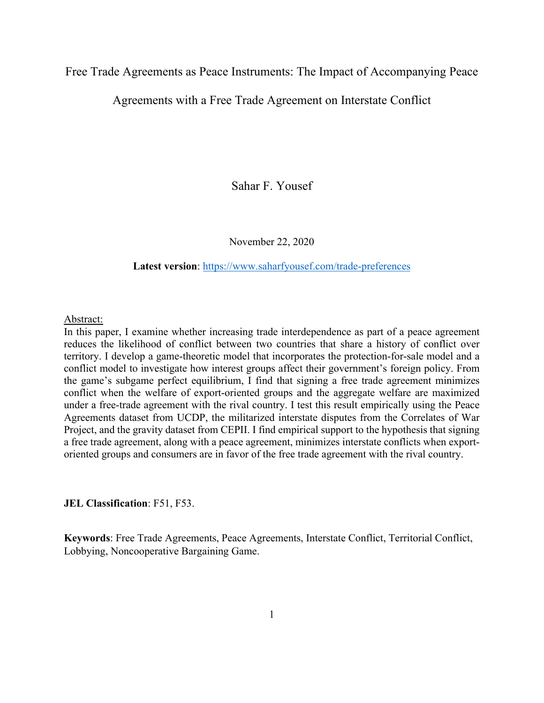Free Trade Agreements as Peace Instruments: The Impact of Accompanying Peace

Agreements with a Free Trade Agreement on Interstate Conflict

Sahar F. Yousef

November 22, 2020

**Latest version**:<https://www.saharfyousef.com/trade-preferences>

#### Abstract:

In this paper, I examine whether increasing trade interdependence as part of a peace agreement reduces the likelihood of conflict between two countries that share a history of conflict over territory. I develop a game-theoretic model that incorporates the protection-for-sale model and a conflict model to investigate how interest groups affect their government's foreign policy. From the game's subgame perfect equilibrium, I find that signing a free trade agreement minimizes conflict when the welfare of export-oriented groups and the aggregate welfare are maximized under a free-trade agreement with the rival country. I test this result empirically using the Peace Agreements dataset from UCDP, the militarized interstate disputes from the Correlates of War Project, and the gravity dataset from CEPII. I find empirical support to the hypothesis that signing a free trade agreement, along with a peace agreement, minimizes interstate conflicts when exportoriented groups and consumers are in favor of the free trade agreement with the rival country.

#### **JEL Classification**: F51, F53.

**Keywords**: Free Trade Agreements, Peace Agreements, Interstate Conflict, Territorial Conflict, Lobbying, Noncooperative Bargaining Game.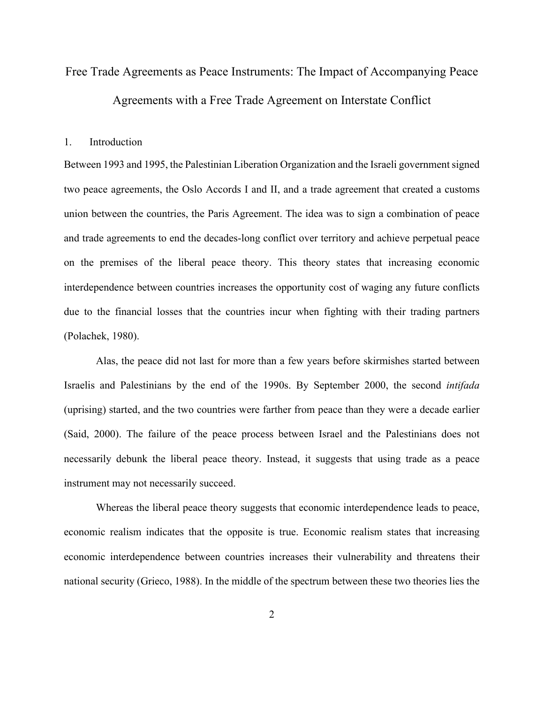# Free Trade Agreements as Peace Instruments: The Impact of Accompanying Peace Agreements with a Free Trade Agreement on Interstate Conflict

#### 1. Introduction

Between 1993 and 1995, the Palestinian Liberation Organization and the Israeli government signed two peace agreements, the Oslo Accords I and II, and a trade agreement that created a customs union between the countries, the Paris Agreement. The idea was to sign a combination of peace and trade agreements to end the decades-long conflict over territory and achieve perpetual peace on the premises of the liberal peace theory. This theory states that increasing economic interdependence between countries increases the opportunity cost of waging any future conflicts due to the financial losses that the countries incur when fighting with their trading partners (Polachek, 1980).

Alas, the peace did not last for more than a few years before skirmishes started between Israelis and Palestinians by the end of the 1990s. By September 2000, the second *intifada*  (uprising) started, and the two countries were farther from peace than they were a decade earlier (Said, 2000). The failure of the peace process between Israel and the Palestinians does not necessarily debunk the liberal peace theory. Instead, it suggests that using trade as a peace instrument may not necessarily succeed.

Whereas the liberal peace theory suggests that economic interdependence leads to peace, economic realism indicates that the opposite is true. Economic realism states that increasing economic interdependence between countries increases their vulnerability and threatens their national security (Grieco, 1988). In the middle of the spectrum between these two theories lies the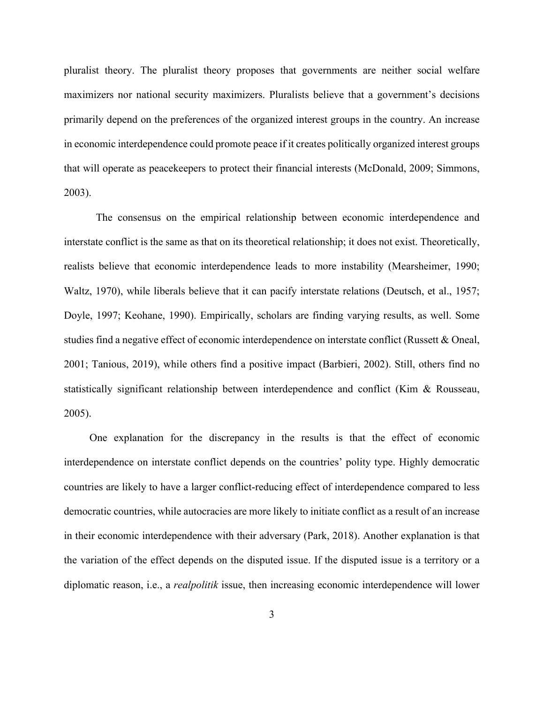pluralist theory. The pluralist theory proposes that governments are neither social welfare maximizers nor national security maximizers. Pluralists believe that a government's decisions primarily depend on the preferences of the organized interest groups in the country. An increase in economic interdependence could promote peace if it creates politically organized interest groups that will operate as peacekeepers to protect their financial interests (McDonald, 2009; Simmons, 2003).

The consensus on the empirical relationship between economic interdependence and interstate conflict is the same as that on its theoretical relationship; it does not exist. Theoretically, realists believe that economic interdependence leads to more instability (Mearsheimer, 1990; Waltz, 1970), while liberals believe that it can pacify interstate relations (Deutsch, et al., 1957; Doyle, 1997; Keohane, 1990). Empirically, scholars are finding varying results, as well. Some studies find a negative effect of economic interdependence on interstate conflict (Russett & Oneal, 2001; Tanious, 2019), while others find a positive impact (Barbieri, 2002). Still, others find no statistically significant relationship between interdependence and conflict (Kim & Rousseau, 2005).

One explanation for the discrepancy in the results is that the effect of economic interdependence on interstate conflict depends on the countries' polity type. Highly democratic countries are likely to have a larger conflict-reducing effect of interdependence compared to less democratic countries, while autocracies are more likely to initiate conflict as a result of an increase in their economic interdependence with their adversary (Park, 2018). Another explanation is that the variation of the effect depends on the disputed issue. If the disputed issue is a territory or a diplomatic reason, i.e., a *realpolitik* issue, then increasing economic interdependence will lower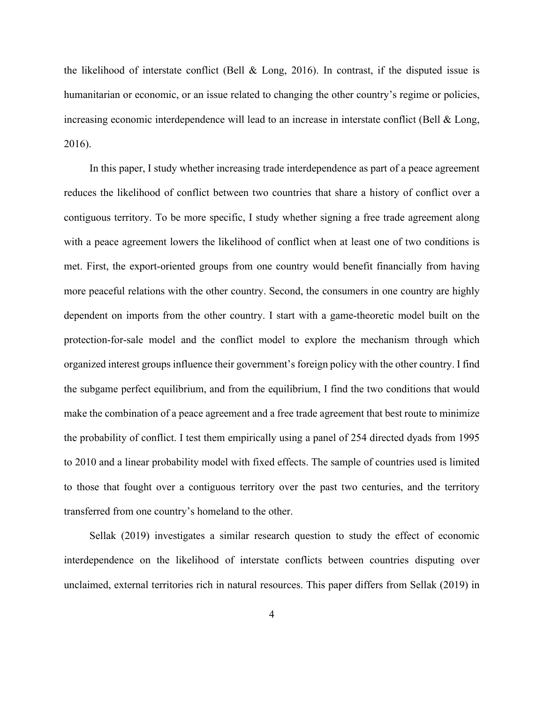the likelihood of interstate conflict (Bell & Long, 2016). In contrast, if the disputed issue is humanitarian or economic, or an issue related to changing the other country's regime or policies, increasing economic interdependence will lead to an increase in interstate conflict (Bell & Long, 2016).

In this paper, I study whether increasing trade interdependence as part of a peace agreement reduces the likelihood of conflict between two countries that share a history of conflict over a contiguous territory. To be more specific, I study whether signing a free trade agreement along with a peace agreement lowers the likelihood of conflict when at least one of two conditions is met. First, the export-oriented groups from one country would benefit financially from having more peaceful relations with the other country. Second, the consumers in one country are highly dependent on imports from the other country. I start with a game-theoretic model built on the protection-for-sale model and the conflict model to explore the mechanism through which organized interest groups influence their government's foreign policy with the other country. I find the subgame perfect equilibrium, and from the equilibrium, I find the two conditions that would make the combination of a peace agreement and a free trade agreement that best route to minimize the probability of conflict. I test them empirically using a panel of 254 directed dyads from 1995 to 2010 and a linear probability model with fixed effects. The sample of countries used is limited to those that fought over a contiguous territory over the past two centuries, and the territory transferred from one country's homeland to the other.

Sellak (2019) investigates a similar research question to study the effect of economic interdependence on the likelihood of interstate conflicts between countries disputing over unclaimed, external territories rich in natural resources. This paper differs from Sellak (2019) in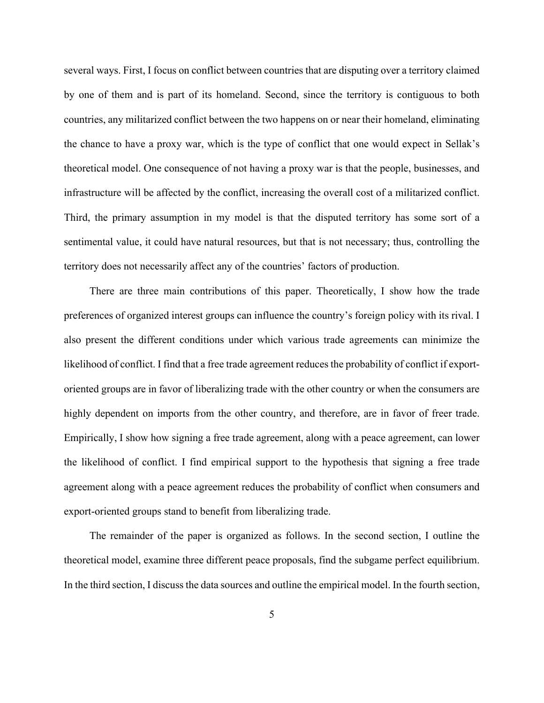several ways. First, I focus on conflict between countries that are disputing over a territory claimed by one of them and is part of its homeland. Second, since the territory is contiguous to both countries, any militarized conflict between the two happens on or near their homeland, eliminating the chance to have a proxy war, which is the type of conflict that one would expect in Sellak's theoretical model. One consequence of not having a proxy war is that the people, businesses, and infrastructure will be affected by the conflict, increasing the overall cost of a militarized conflict. Third, the primary assumption in my model is that the disputed territory has some sort of a sentimental value, it could have natural resources, but that is not necessary; thus, controlling the territory does not necessarily affect any of the countries' factors of production.

There are three main contributions of this paper. Theoretically, I show how the trade preferences of organized interest groups can influence the country's foreign policy with its rival. I also present the different conditions under which various trade agreements can minimize the likelihood of conflict. I find that a free trade agreement reduces the probability of conflict if exportoriented groups are in favor of liberalizing trade with the other country or when the consumers are highly dependent on imports from the other country, and therefore, are in favor of freer trade. Empirically, I show how signing a free trade agreement, along with a peace agreement, can lower the likelihood of conflict. I find empirical support to the hypothesis that signing a free trade agreement along with a peace agreement reduces the probability of conflict when consumers and export-oriented groups stand to benefit from liberalizing trade.

The remainder of the paper is organized as follows. In the second section, I outline the theoretical model, examine three different peace proposals, find the subgame perfect equilibrium. In the third section, I discuss the data sources and outline the empirical model. In the fourth section,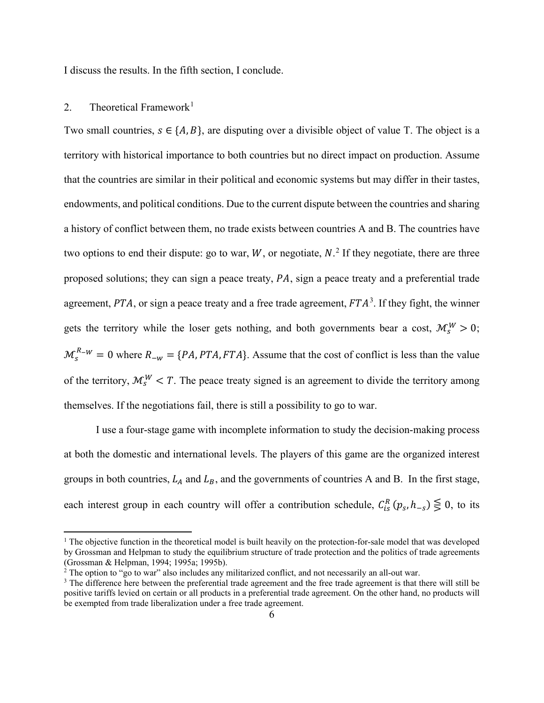I discuss the results. In the fifth section, I conclude.

# 2. Theoretical Framework<sup>[1](#page-5-0)</sup>

Two small countries,  $s \in \{A, B\}$ , are disputing over a divisible object of value T. The object is a territory with historical importance to both countries but no direct impact on production. Assume that the countries are similar in their political and economic systems but may differ in their tastes, endowments, and political conditions. Due to the current dispute between the countries and sharing a history of conflict between them, no trade exists between countries A and B. The countries have two options to end their dispute: go to war,  $W$ , or negotiate,  $N$ <sup>[2](#page-5-1)</sup>. If they negotiate, there are three proposed solutions; they can sign a peace treaty,  $PA$ , sign a peace treaty and a preferential trade agreement,  $PTA$ , or sign a peace treaty and a free trade agreement,  $FTA<sup>3</sup>$ . If they fight, the winner gets the territory while the loser gets nothing, and both governments bear a cost,  $\mathcal{M}_s^W > 0$ ;  $M_s^{R-W} = 0$  where  $R_{-w} = \{PA, PTA, FTA\}$ . Assume that the cost of conflict is less than the value of the territory,  $\mathcal{M}_{s}^{W} < T$ . The peace treaty signed is an agreement to divide the territory among themselves. If the negotiations fail, there is still a possibility to go to war.

I use a four-stage game with incomplete information to study the decision-making process at both the domestic and international levels. The players of this game are the organized interest groups in both countries,  $L_A$  and  $L_B$ , and the governments of countries A and B. In the first stage, each interest group in each country will offer a contribution schedule,  $C_{is}^{R}$   $(p_s, h_{-s}) \leq 0$ , to its

<span id="page-5-0"></span><sup>&</sup>lt;sup>1</sup> The objective function in the theoretical model is built heavily on the protection-for-sale model that was developed by Grossman and Helpman to study the equilibrium structure of trade protection and the politics of trade agreements (Grossman & Helpman, 1994; 1995a; 1995b).

<span id="page-5-1"></span> $2$ <sup>2</sup> The option to "go to war" also includes any militarized conflict, and not necessarily an all-out war.

<sup>&</sup>lt;sup>3</sup> The difference here between the preferential trade agreement and the free trade agreement is that there will still be positive tariffs levied on certain or all products in a preferential trade agreement. On the other hand, no products will be exempted from trade liberalization under a free trade agreement.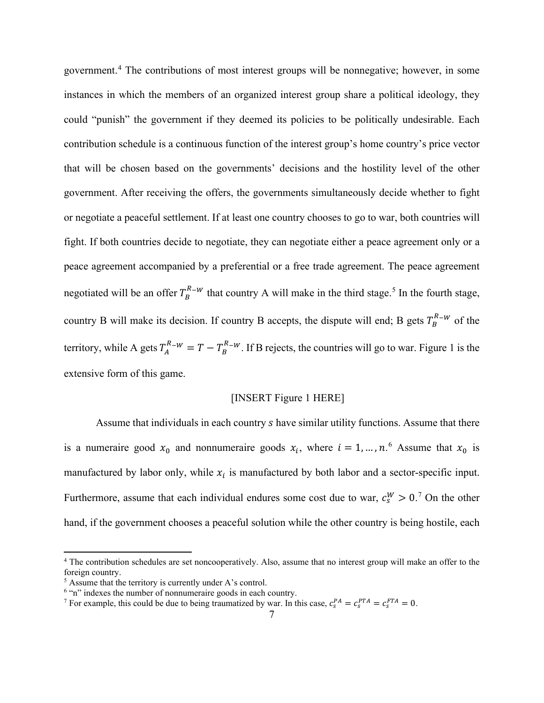government.[4](#page-6-0) The contributions of most interest groups will be nonnegative; however, in some instances in which the members of an organized interest group share a political ideology, they could "punish" the government if they deemed its policies to be politically undesirable. Each contribution schedule is a continuous function of the interest group's home country's price vector that will be chosen based on the governments' decisions and the hostility level of the other government. After receiving the offers, the governments simultaneously decide whether to fight or negotiate a peaceful settlement. If at least one country chooses to go to war, both countries will fight. If both countries decide to negotiate, they can negotiate either a peace agreement only or a peace agreement accompanied by a preferential or a free trade agreement. The peace agreement negotiated will be an offer  $T_B^{R-W}$  that country A will make in the third stage.<sup>[5](#page-6-1)</sup> In the fourth stage, country B will make its decision. If country B accepts, the dispute will end; B gets  $T_B^{R-W}$  of the territory, while A gets  $T_A^{R-W} = T - T_B^{R-W}$ . If B rejects, the countries will go to war. [Figure 1](#page-29-0) is the extensive form of this game.

### [INSERT [Figure 1](#page-29-0) HERE]

Assume that individuals in each country s have similar utility functions. Assume that there is a numeraire good  $x_0$  and nonnumeraire goods  $x_i$ , where  $i = 1, ..., n$ .<sup>[6](#page-6-2)</sup> Assume that  $x_0$  is manufactured by labor only, while  $x_i$  is manufactured by both labor and a sector-specific input. Furthermore, assume that each individual endures some cost due to war,  $c_s^W > 0$ .<sup>[7](#page-6-3)</sup> On the other hand, if the government chooses a peaceful solution while the other country is being hostile, each

<span id="page-6-0"></span><sup>&</sup>lt;sup>4</sup> The contribution schedules are set noncooperatively. Also, assume that no interest group will make an offer to the foreign country.

<span id="page-6-1"></span><sup>5</sup> Assume that the territory is currently under A's control.

<span id="page-6-2"></span><sup>&</sup>lt;sup>6</sup> "n" indexes the number of nonnumeraire goods in each country.

<span id="page-6-3"></span><sup>&</sup>lt;sup>7</sup> For example, this could be due to being traumatized by war. In this case,  $c_s^{PA} = c_s^{PTA} = c_s^{FTA} = 0$ .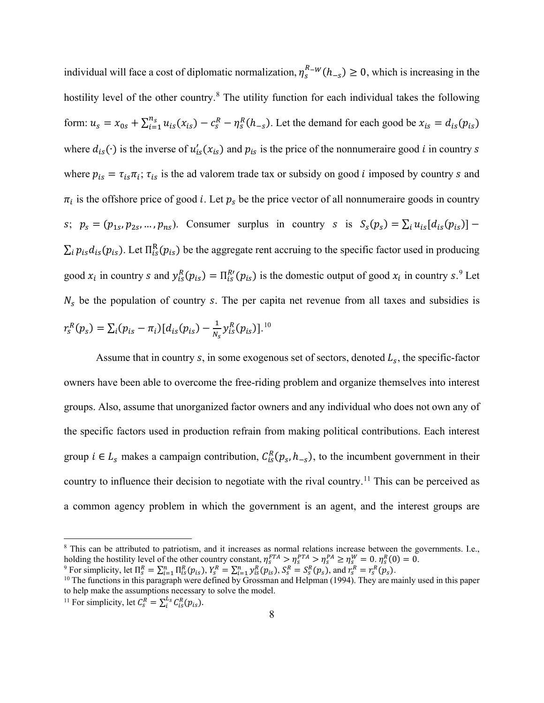individual will face a cost of diplomatic normalization,  $\eta_s^{R-W}(h_{-s}) \ge 0$ , which is increasing in the hostility level of the other country.<sup>[8](#page-7-0)</sup> The utility function for each individual takes the following form:  $u_s = x_{0s} + \sum_{i=1}^{n_s} u_{is}(x_{is}) - c_s^R - \eta_s^R(h_{-s})$ . Let the demand for each good be  $x_{is} = d_{is}(p_{is})$ where  $d_{is}(\cdot)$  is the inverse of  $u'_{is}(x_{is})$  and  $p_{is}$  is the price of the nonnumeraire good *i* in country *s* where  $p_{is} = \tau_{is}\pi_i$ ;  $\tau_{is}$  is the ad valorem trade tax or subsidy on good *i* imposed by country *s* and  $\pi_i$  is the offshore price of good *i*. Let  $p_s$  be the price vector of all nonnumeraire goods in country s;  $p_s = (p_{1s}, p_{2s}, ..., p_{ns})$ . Consumer surplus in country s is  $S_s(p_s) = \sum_i u_{is} [d_{is}(p_{is})]$  –  $\Sigma_i p_{is} d_{is}(p_{is})$ . Let  $\Pi_{is}^R(p_{is})$  be the aggregate rent accruing to the specific factor used in producing good  $x_i$  in country s and  $y_{is}^R(p_{is}) = \prod_{is}^{R'}(p_{is})$  is the domestic output of good  $x_i$  in country s.<sup>[9](#page-7-1)</sup> Let  $N_s$  be the population of country s. The per capita net revenue from all taxes and subsidies is  $r_s^R(p_s) = \sum_i (p_{is} - \pi_i) [d_{is}(p_{is}) - \frac{1}{N_s} y_{is}^R(p_{is})]$ .<sup>[10](#page-7-2)</sup>

Assume that in country s, in some exogenous set of sectors, denoted  $L_s$ , the specific-factor owners have been able to overcome the free-riding problem and organize themselves into interest groups. Also, assume that unorganized factor owners and any individual who does not own any of the specific factors used in production refrain from making political contributions. Each interest group  $i \in L_s$  makes a campaign contribution,  $C_{is}^R(p_s, h_{-s})$ , to the incumbent government in their country to influence their decision to negotiate with the rival country.<sup>[11](#page-7-3)</sup> This can be perceived as a common agency problem in which the government is an agent, and the interest groups are

<span id="page-7-0"></span><sup>&</sup>lt;sup>8</sup> This can be attributed to patriotism, and it increases as normal relations increase between the governments. I.e., holding the hostility level of the other country constant,  $\eta_s^{FTA} > \eta_s^{PA} \ge \eta_s^R \ge \eta_s^R = 0$ .  $\eta_s^R(0) = 0$ .<br><sup>9</sup> For simplicity, let  $\Pi_s^R = \sum_{i=1}^n \Pi_{is}^R(p_{is}), Y_s^R = \sum_{i=1}^n y_{is}^R(p_{is}), S_s^R = S_s^R(p_s)$ , and  $r_s^R = r_s^R(p_s)$ .<br><sup></sup>

<span id="page-7-2"></span><span id="page-7-1"></span>

to help make the assumptions necessary to solve the model.

<span id="page-7-3"></span><sup>&</sup>lt;sup>11</sup> For simplicity, let  $C_s^R = \sum_i^{L_s} C_{is}^R(p_{is})$ .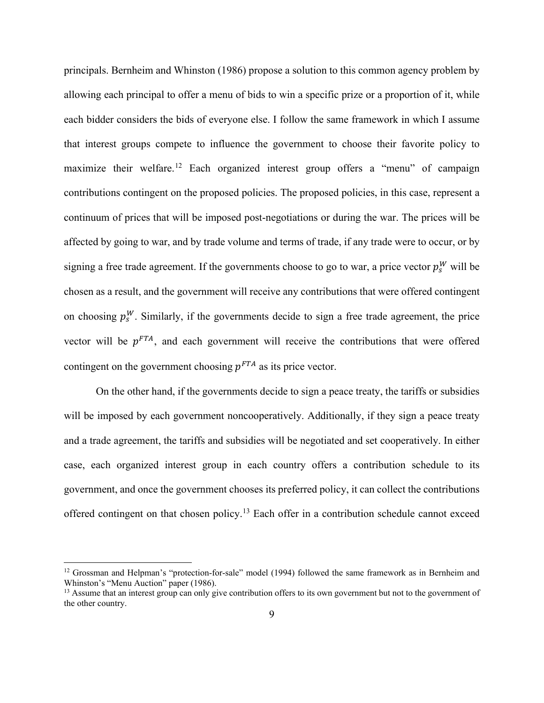principals. Bernheim and Whinston (1986) propose a solution to this common agency problem by allowing each principal to offer a menu of bids to win a specific prize or a proportion of it, while each bidder considers the bids of everyone else. I follow the same framework in which I assume that interest groups compete to influence the government to choose their favorite policy to maximize their welfare.[12](#page-8-0) Each organized interest group offers a "menu" of campaign contributions contingent on the proposed policies. The proposed policies, in this case, represent a continuum of prices that will be imposed post-negotiations or during the war. The prices will be affected by going to war, and by trade volume and terms of trade, if any trade were to occur, or by signing a free trade agreement. If the governments choose to go to war, a price vector  $p_s^W$  will be chosen as a result, and the government will receive any contributions that were offered contingent on choosing  $p_s^W$ . Similarly, if the governments decide to sign a free trade agreement, the price vector will be  $p<sup>FTA</sup>$ , and each government will receive the contributions that were offered contingent on the government choosing  $p^{FTA}$  as its price vector.

On the other hand, if the governments decide to sign a peace treaty, the tariffs or subsidies will be imposed by each government noncooperatively. Additionally, if they sign a peace treaty and a trade agreement, the tariffs and subsidies will be negotiated and set cooperatively. In either case, each organized interest group in each country offers a contribution schedule to its government, and once the government chooses its preferred policy, it can collect the contributions offered contingent on that chosen policy.[13](#page-8-1) Each offer in a contribution schedule cannot exceed

<span id="page-8-0"></span><sup>&</sup>lt;sup>12</sup> Grossman and Helpman's "protection-for-sale" model (1994) followed the same framework as in Bernheim and Whinston's "Menu Auction" paper (1986).

<span id="page-8-1"></span><sup>&</sup>lt;sup>13</sup> Assume that an interest group can only give contribution offers to its own government but not to the government of the other country.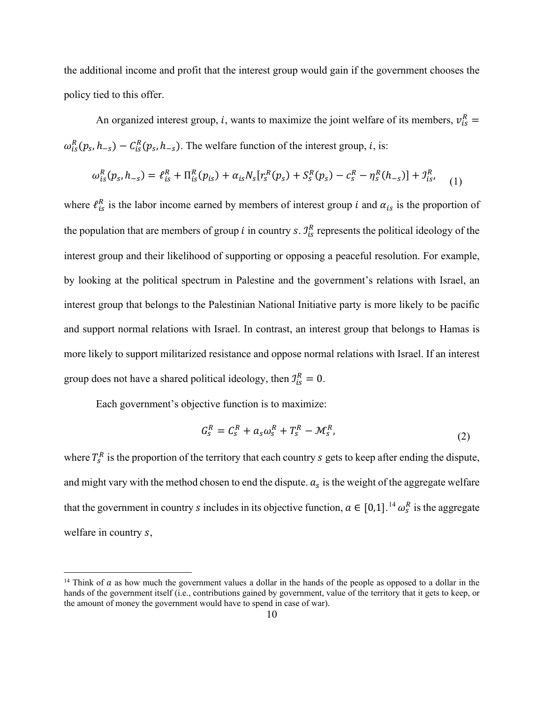the additional income and profit that the interest group would gain if the government chooses the policy tied to this offer.

An organized interest group, *i*, wants to maximize the joint welfare of its members,  $v_{is}^R$  =  $\omega_{is}^{R}(p_s, h_{-s}) - C_{is}^{R}(p_s, h_{-s})$ . The welfare function of the interest group, *i*, is:

$$
\omega_{is}^{R}(p_s, h_{-s}) = \ell_{is}^{R} + \Pi_{is}^{R}(p_{is}) + \alpha_{is} N_s [r_s^{R}(p_s) + S_s^{R}(p_s) - c_s^{R} - \eta_s^{R}(h_{-s})] + \mathcal{I}_{is}^{R},
$$
\n(1)

where  $\ell_{is}^R$  is the labor income earned by members of interest group *i* and  $\alpha_{is}$  is the proportion of the population that are members of group *i* in country *s*.  $J_{is}^R$  represents the political ideology of the interest group and their likelihood of supporting or opposing a peaceful resolution. For example, by looking at the political spectrum in Palestine and the government's relations with Israel, an interest group that belongs to the Palestinian National Initiative party is more likely to be pacific and support normal relations with Israel. In contrast, an interest group that belongs to Hamas is more likely to support militarized resistance and oppose normal relations with Israel. If an interest group does not have a shared political ideology, then  $\mathcal{I}_{is}^R = 0$ .

Each government's objective function is to maximize:

$$
G_s^R = C_s^R + a_s \omega_s^R + T_s^R - \mathcal{M}_s^R, \tag{2}
$$

where  $T_s^R$  is the proportion of the territory that each country  $s$  gets to keep after ending the dispute, and might vary with the method chosen to end the dispute.  $a_s$  is the weight of the aggregate welfare that the government in country *s* includes in its objective function,  $a \in [0,1]$ .<sup>[14](#page-9-0)</sup>  $\omega_s^R$  is the aggregate welfare in country s,

<span id="page-9-0"></span><sup>&</sup>lt;sup>14</sup> Think of  $\alpha$  as how much the government values a dollar in the hands of the people as opposed to a dollar in the hands of the government itself (i.e., contributions gained by government, value of the territory that it gets to keep, or the amount of money the government would have to spend in case of war).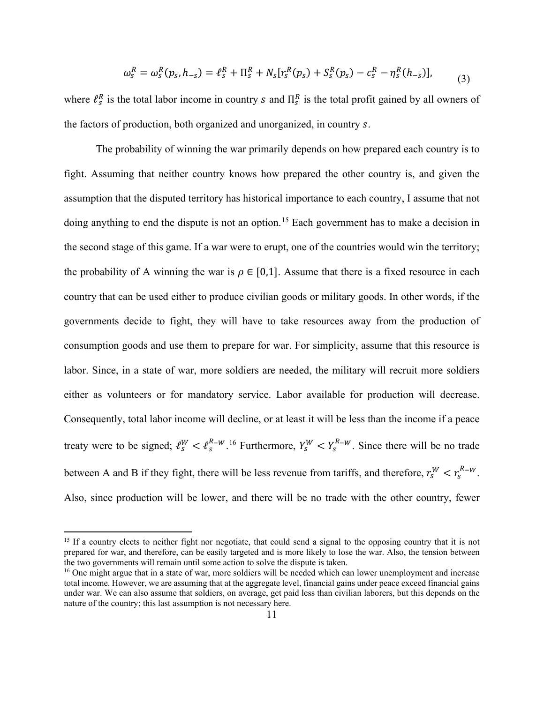$$
\omega_s^R = \omega_s^R(p_s, h_{-s}) = \ell_s^R + \Pi_s^R + N_s[r_s^R(p_s) + S_s^R(p_s) - c_s^R - \eta_s^R(h_{-s})],
$$
\n(3)

where  $\ell_s^R$  is the total labor income in country s and  $\prod_s^R$  is the total profit gained by all owners of the factors of production, both organized and unorganized, in country s.

The probability of winning the war primarily depends on how prepared each country is to fight. Assuming that neither country knows how prepared the other country is, and given the assumption that the disputed territory has historical importance to each country, I assume that not doing anything to end the dispute is not an option.<sup>[15](#page-10-0)</sup> Each government has to make a decision in the second stage of this game. If a war were to erupt, one of the countries would win the territory; the probability of A winning the war is  $\rho \in [0,1]$ . Assume that there is a fixed resource in each country that can be used either to produce civilian goods or military goods. In other words, if the governments decide to fight, they will have to take resources away from the production of consumption goods and use them to prepare for war. For simplicity, assume that this resource is labor. Since, in a state of war, more soldiers are needed, the military will recruit more soldiers either as volunteers or for mandatory service. Labor available for production will decrease. Consequently, total labor income will decline, or at least it will be less than the income if a peace treaty were to be signed;  $\ell_s^W < \ell_s^{R-W}$ .<sup>[16](#page-10-1)</sup> Furthermore,  $Y_s^W < Y_s^{R-W}$ . Since there will be no trade between A and B if they fight, there will be less revenue from tariffs, and therefore,  $r_s^W < r_s^{R-W}$ . Also, since production will be lower, and there will be no trade with the other country, fewer

<span id="page-10-0"></span><sup>&</sup>lt;sup>15</sup> If a country elects to neither fight nor negotiate, that could send a signal to the opposing country that it is not prepared for war, and therefore, can be easily targeted and is more likely to lose the war. Also, the tension between the two governments will remain until some action to solve the dispute is taken.

<span id="page-10-1"></span><sup>&</sup>lt;sup>16</sup> One might argue that in a state of war, more soldiers will be needed which can lower unemployment and increase total income. However, we are assuming that at the aggregate level, financial gains under peace exceed financial gains under war. We can also assume that soldiers, on average, get paid less than civilian laborers, but this depends on the nature of the country; this last assumption is not necessary here.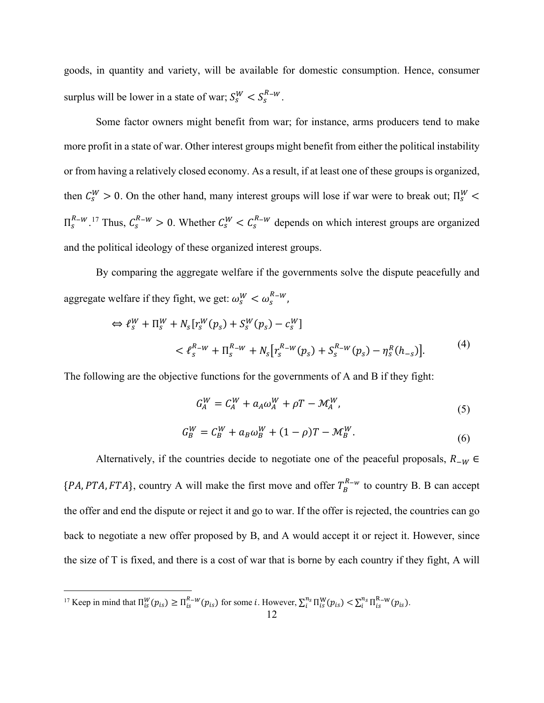goods, in quantity and variety, will be available for domestic consumption. Hence, consumer surplus will be lower in a state of war;  $S_s^W < S_s^{R-W}$ .

Some factor owners might benefit from war; for instance, arms producers tend to make more profit in a state of war. Other interest groups might benefit from either the political instability or from having a relatively closed economy. As a result, if at least one of these groups is organized, then  $C_s^W > 0$ . On the other hand, many interest groups will lose if war were to break out;  $\Pi_s^W$  <  $\Pi_s^{R-W}$ .<sup>[17](#page-11-0)</sup> Thus,  $C_s^{R-W} > 0$ . Whether  $C_s^W < C_s^{R-W}$  depends on which interest groups are organized and the political ideology of these organized interest groups.

By comparing the aggregate welfare if the governments solve the dispute peacefully and aggregate welfare if they fight, we get:  $\omega_s^W < \omega_s^{R-W}$ ,

$$
\Leftrightarrow \ell_s^W + \Pi_s^W + N_s[r_s^W(p_s) + S_s^W(p_s) - c_s^W]
$$
  

$$
< \ell_s^{R-W} + \Pi_s^{R-W} + N_s[r_s^{R-W}(p_s) + S_s^{R-W}(p_s) - \eta_s^R(h_{-s})].
$$
<sup>(4)</sup>

The following are the objective functions for the governments of A and B if they fight:

$$
G_A^W = C_A^W + a_A \omega_A^W + \rho T - \mathcal{M}_A^W,\tag{5}
$$

$$
G_B^W = C_B^W + a_B \omega_B^W + (1 - \rho)T - \mathcal{M}_B^W.
$$
\n(6)

Alternatively, if the countries decide to negotiate one of the peaceful proposals,  $R_{-W}$  ∈  $\{PA,PTA,FTA\}$ , country A will make the first move and offer  $T_B^{R-w}$  to country B. B can accept the offer and end the dispute or reject it and go to war. If the offer is rejected, the countries can go back to negotiate a new offer proposed by B, and A would accept it or reject it. However, since the size of T is fixed, and there is a cost of war that is borne by each country if they fight, A will

<span id="page-11-0"></span><sup>&</sup>lt;sup>17</sup> Keep in mind that  $\Pi_{is}^{W}(p_{is}) \ge \Pi_{is}^{R-W}(p_{is})$  for some *i*. However,  $\sum_{i=1}^{n_s} \Pi_{is}^{W}(p_{is}) < \sum_{i=1}^{n_s} \Pi_{is}^{R-W}(p_{is})$ .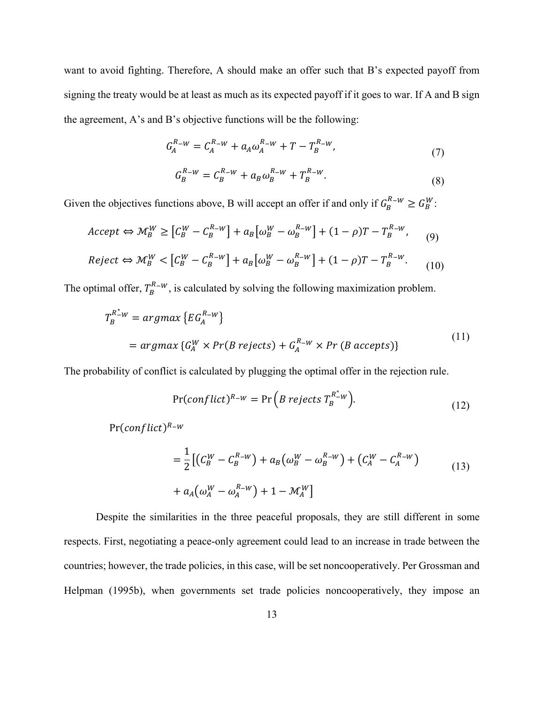want to avoid fighting. Therefore, A should make an offer such that B's expected payoff from signing the treaty would be at least as much as its expected payoff if it goes to war. If A and B sign the agreement, A's and B's objective functions will be the following:

$$
G_A^{R-W} = C_A^{R-W} + a_A \omega_A^{R-W} + T - T_B^{R-W}, \tag{7}
$$

$$
G_B^{R-W} = C_B^{R-W} + a_B \omega_B^{R-W} + T_B^{R-W}.
$$
\n(8)

Given the objectives functions above, B will accept an offer if and only if  $G_B^{R-w} \geq G_B^W$ :

$$
Accept \Leftrightarrow \mathcal{M}_B^W \ge \left[ C_B^W - C_B^{R-W} \right] + a_B \left[ \omega_B^W - \omega_B^{R-W} \right] + (1 - \rho)T - T_B^{R-W}, \qquad (9)
$$
  
\n
$$
Reject \Leftrightarrow \mathcal{M}_B^W < \left[ C_B^W - C_B^{R-W} \right] + a_B \left[ \omega_B^W - \omega_B^{R-W} \right] + (1 - \rho)T - T_B^{R-W}. \qquad (10)
$$

The optimal offer,  $T_B^{R-W}$ , is calculated by solving the following maximization problem.

$$
T_B^{R^* \omega} = \operatorname{argmax} \left\{ EG_A^{R - w} \right\}
$$
  
= 
$$
\operatorname{argmax} \left\{ G_A^W \times Pr(B \text{ rejects}) + G_A^{R - w} \times Pr(B \text{ accepts}) \right\}
$$
 (11)

The probability of conflict is calculated by plugging the optimal offer in the rejection rule.

$$
Pr(conflict)^{R_{-W}} = Pr(B rejects T_B^{R_{-W}^*}).
$$
\n(12)

 $Pr(conflict)^{R-w}$ 

$$
= \frac{1}{2} \left[ \left( C_B^W - C_B^{R-W} \right) + a_B \left( \omega_B^W - \omega_B^{R-W} \right) + \left( C_A^W - C_A^{R-W} \right) \right] + a_A \left( \omega_A^W - \omega_A^{R-W} \right) + 1 - \mathcal{M}_A^W
$$
\n(13)

Despite the similarities in the three peaceful proposals, they are still different in some respects. First, negotiating a peace-only agreement could lead to an increase in trade between the countries; however, the trade policies, in this case, will be set noncooperatively. Per Grossman and Helpman (1995b), when governments set trade policies noncooperatively, they impose an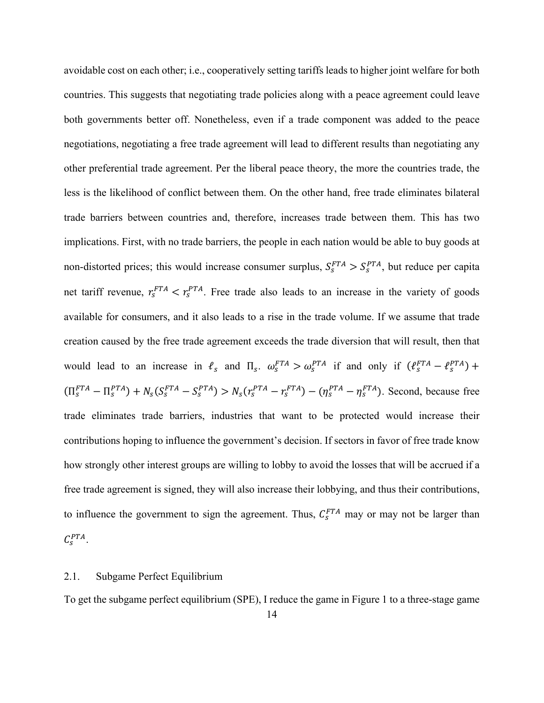avoidable cost on each other; i.e., cooperatively setting tariffs leads to higher joint welfare for both countries. This suggests that negotiating trade policies along with a peace agreement could leave both governments better off. Nonetheless, even if a trade component was added to the peace negotiations, negotiating a free trade agreement will lead to different results than negotiating any other preferential trade agreement. Per the liberal peace theory, the more the countries trade, the less is the likelihood of conflict between them. On the other hand, free trade eliminates bilateral trade barriers between countries and, therefore, increases trade between them. This has two implications. First, with no trade barriers, the people in each nation would be able to buy goods at non-distorted prices; this would increase consumer surplus,  $S_s^{FTA} > S_s^{PTA}$ , but reduce per capita net tariff revenue,  $r_s^{FTA} < r_s^{PTA}$ . Free trade also leads to an increase in the variety of goods available for consumers, and it also leads to a rise in the trade volume. If we assume that trade creation caused by the free trade agreement exceeds the trade diversion that will result, then that would lead to an increase in  $\ell_s$  and  $\Pi_s$ .  $\omega_s^{FTA} > \omega_s^{PTA}$  if and only if  $(\ell_s^{FTA} - \ell_s^{PTA})$  +  $(\Pi_S^{FTA} - \Pi_S^{PTA}) + N_S(S_S^{FTA} - S_S^{PTA}) > N_S(r_S^{PTA} - r_S^{FTA}) - (\eta_S^{PTA} - \eta_S^{FTA})$ . Second, because free trade eliminates trade barriers, industries that want to be protected would increase their contributions hoping to influence the government's decision. If sectors in favor of free trade know how strongly other interest groups are willing to lobby to avoid the losses that will be accrued if a free trade agreement is signed, they will also increase their lobbying, and thus their contributions, to influence the government to sign the agreement. Thus,  $C_s^{FTA}$  may or may not be larger than  $\mathcal{C}_s^{PTA}$ .

#### 2.1. Subgame Perfect Equilibrium

To get the subgame perfect equilibrium (SPE), I reduce the game in [Figure 1](#page-29-0) to a three-stage game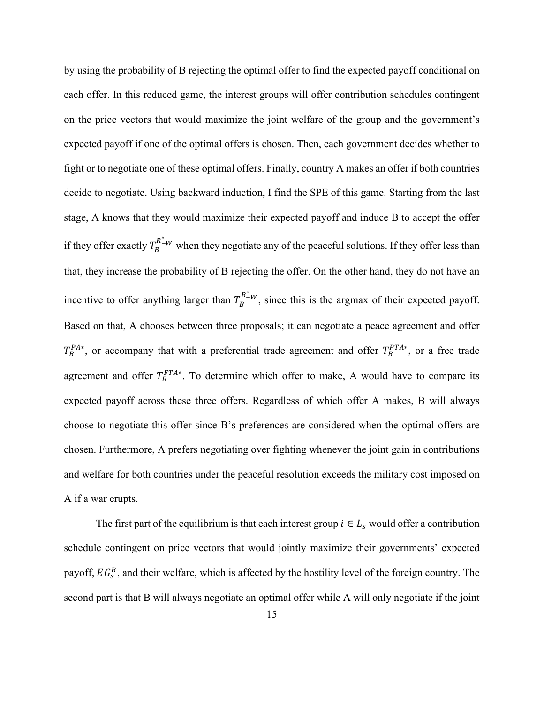by using the probability of B rejecting the optimal offer to find the expected payoff conditional on each offer. In this reduced game, the interest groups will offer contribution schedules contingent on the price vectors that would maximize the joint welfare of the group and the government's expected payoff if one of the optimal offers is chosen. Then, each government decides whether to fight or to negotiate one of these optimal offers. Finally, country A makes an offer if both countries decide to negotiate. Using backward induction, I find the SPE of this game. Starting from the last stage, A knows that they would maximize their expected payoff and induce B to accept the offer if they offer exactly  $T_B^{R^*_{-W}}$  when they negotiate any of the peaceful solutions. If they offer less than that, they increase the probability of B rejecting the offer. On the other hand, they do not have an incentive to offer anything larger than  $T_B^{R^*_{-W}}$ , since this is the argmax of their expected payoff. Based on that, A chooses between three proposals; it can negotiate a peace agreement and offer  ${}_{B}^{P_{A*}}$ , or accompany that with a preferential trade agreement and offer  $T_{B}^{PT_{A*}}$ , or a free trade agreement and offer  $T_B^{FTA*}$ . To determine which offer to make, A would have to compare its expected payoff across these three offers. Regardless of which offer A makes, B will always choose to negotiate this offer since B's preferences are considered when the optimal offers are chosen. Furthermore, A prefers negotiating over fighting whenever the joint gain in contributions and welfare for both countries under the peaceful resolution exceeds the military cost imposed on A if a war erupts.

The first part of the equilibrium is that each interest group  $i \in L_s$  would offer a contribution schedule contingent on price vectors that would jointly maximize their governments' expected payoff,  $EG_s^R$ , and their welfare, which is affected by the hostility level of the foreign country. The second part is that B will always negotiate an optimal offer while A will only negotiate if the joint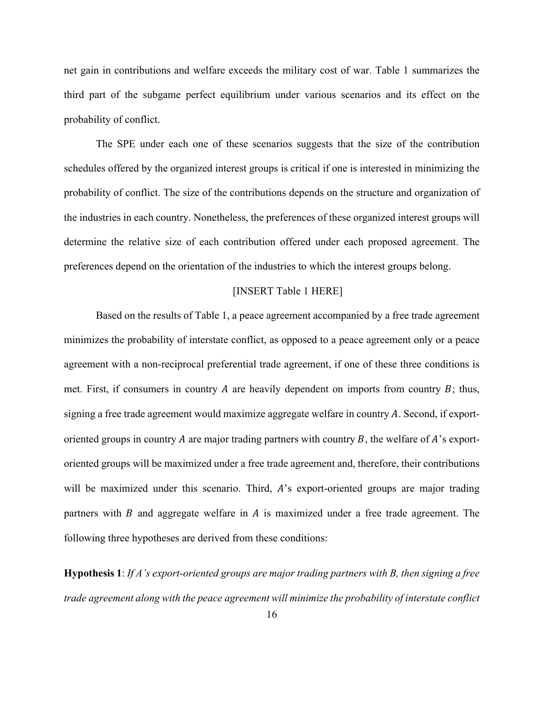net gain in contributions and welfare exceeds the military cost of war. [Table](#page-30-0) 1 summarizes the third part of the subgame perfect equilibrium under various scenarios and its effect on the probability of conflict.

The SPE under each one of these scenarios suggests that the size of the contribution schedules offered by the organized interest groups is critical if one is interested in minimizing the probability of conflict. The size of the contributions depends on the structure and organization of the industries in each country. Nonetheless, the preferences of these organized interest groups will determine the relative size of each contribution offered under each proposed agreement. The preferences depend on the orientation of the industries to which the interest groups belong.

#### [INSERT [Table](#page-30-0) 1 HERE]

Based on the results of [Table](#page-30-0) 1, a peace agreement accompanied by a free trade agreement minimizes the probability of interstate conflict, as opposed to a peace agreement only or a peace agreement with a non-reciprocal preferential trade agreement, if one of these three conditions is met. First, if consumers in country A are heavily dependent on imports from country  $B$ ; thus, signing a free trade agreement would maximize aggregate welfare in country A. Second, if exportoriented groups in country A are major trading partners with country  $B$ , the welfare of  $A$ 's exportoriented groups will be maximized under a free trade agreement and, therefore, their contributions will be maximized under this scenario. Third, A's export-oriented groups are major trading partners with  $\hat{B}$  and aggregate welfare in  $\hat{A}$  is maximized under a free trade agreement. The following three hypotheses are derived from these conditions:

**Hypothesis 1**: *If A's export-oriented groups are major trading partners with B, then signing a free trade agreement along with the peace agreement will minimize the probability of interstate conflict*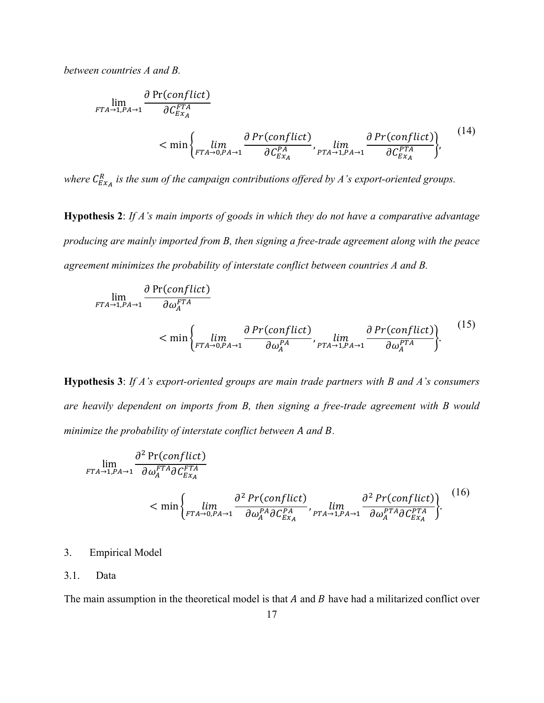*between countries A and B.*

$$
\lim_{FTA \to 1, PA \to 1} \frac{\partial \Pr(conflict)}{\partial C_{Ex_A}^{FTA}} \n< \min \left\{ \lim_{FTA \to 0, PA \to 1} \frac{\partial \Pr(conflict)}{\partial C_{Ex_A}^{PA}}, \lim_{PTA \to 1, PA \to 1} \frac{\partial \Pr(conflict)}{\partial C_{Ex_A}^{PTA}} \right\},
$$
\n
$$
(14)
$$

where  $C_{Ex_{A}}^{R}$  is the sum of the campaign contributions offered by A's export-oriented groups.

**Hypothesis 2**: *If A's main imports of goods in which they do not have a comparative advantage producing are mainly imported from B, then signing a free-trade agreement along with the peace agreement minimizes the probability of interstate conflict between countries A and B.*

$$
\lim_{\substack{FTA \to 1, PA \to 1}} \frac{\partial \Pr(conflict)}{\partial \omega_A^{FTA}} \n< \min \left\{ \lim_{\substack{FTA \to 0, PA \to 1}} \frac{\partial \Pr(conflict)}{\partial \omega_A^{PA}}, \lim_{\substack{PTA \to 1, PA \to 1}} \frac{\partial \Pr(conflict)}{\partial \omega_A^{PTA}} \right\}.
$$
\n(15)

**Hypothesis 3**: *If A's export-oriented groups are main trade partners with B and A's consumers are heavily dependent on imports from B, then signing a free-trade agreement with B would minimize the probability of interstate conflict between A and B.* 

$$
\lim_{\substack{FTA\to 1,PA\to 1}} \frac{\partial^2 \Pr(conflict)}{\partial \omega_A^{FTA} \partial C_{Ex_A}^{FTA}} \n< \min \left\{ \lim_{\substack{FTA\to 0,PA\to 1}} \frac{\partial^2 \Pr(conflict)}{\partial \omega_A^{PA} \partial C_{Ex_A}^{PA}}, \lim_{\substack{PTA\to 1,PA\to 1}} \frac{\partial^2 \Pr(conflict)}{\partial \omega_A^{PTA} \partial C_{Ex_A}^{PTA}} \right\}.
$$
\n
$$
(16)
$$

# 3. Empirical Model

#### 3.1. Data

The main assumption in the theoretical model is that  $A$  and  $B$  have had a militarized conflict over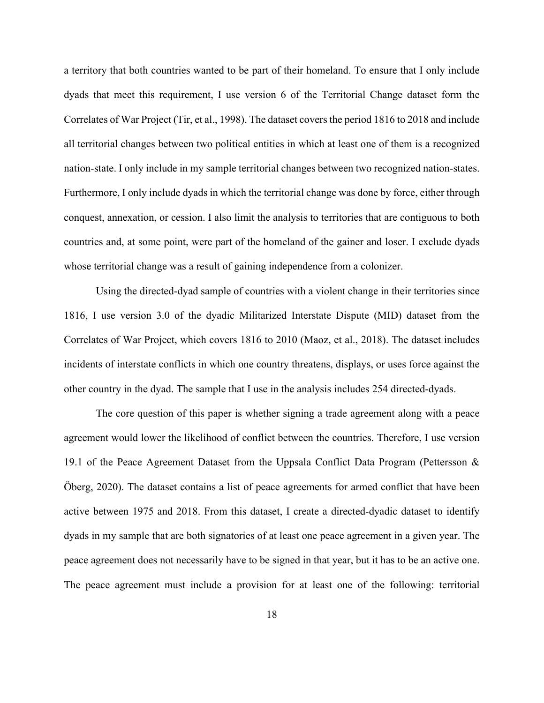a territory that both countries wanted to be part of their homeland. To ensure that I only include dyads that meet this requirement, I use version 6 of the Territorial Change dataset form the Correlates of War Project (Tir, et al., 1998). The dataset covers the period 1816 to 2018 and include all territorial changes between two political entities in which at least one of them is a recognized nation-state. I only include in my sample territorial changes between two recognized nation-states. Furthermore, I only include dyads in which the territorial change was done by force, either through conquest, annexation, or cession. I also limit the analysis to territories that are contiguous to both countries and, at some point, were part of the homeland of the gainer and loser. I exclude dyads whose territorial change was a result of gaining independence from a colonizer.

Using the directed-dyad sample of countries with a violent change in their territories since 1816, I use version 3.0 of the dyadic Militarized Interstate Dispute (MID) dataset from the Correlates of War Project, which covers 1816 to 2010 (Maoz, et al., 2018). The dataset includes incidents of interstate conflicts in which one country threatens, displays, or uses force against the other country in the dyad. The sample that I use in the analysis includes 254 directed-dyads.

The core question of this paper is whether signing a trade agreement along with a peace agreement would lower the likelihood of conflict between the countries. Therefore, I use version 19.1 of the Peace Agreement Dataset from the Uppsala Conflict Data Program (Pettersson & Öberg, 2020). The dataset contains a list of peace agreements for armed conflict that have been active between 1975 and 2018. From this dataset, I create a directed-dyadic dataset to identify dyads in my sample that are both signatories of at least one peace agreement in a given year. The peace agreement does not necessarily have to be signed in that year, but it has to be an active one. The peace agreement must include a provision for at least one of the following: territorial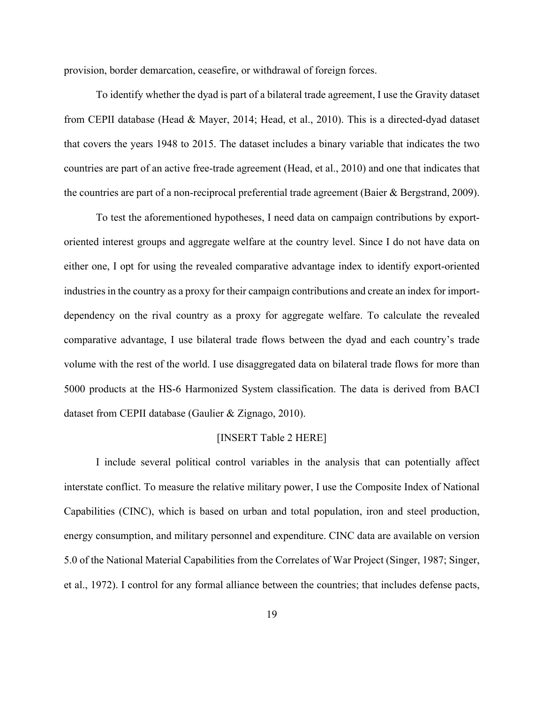provision, border demarcation, ceasefire, or withdrawal of foreign forces.

To identify whether the dyad is part of a bilateral trade agreement, I use the Gravity dataset from CEPII database (Head & Mayer, 2014; Head, et al., 2010). This is a directed-dyad dataset that covers the years 1948 to 2015. The dataset includes a binary variable that indicates the two countries are part of an active free-trade agreement (Head, et al., 2010) and one that indicates that the countries are part of a non-reciprocal preferential trade agreement (Baier & Bergstrand, 2009).

To test the aforementioned hypotheses, I need data on campaign contributions by exportoriented interest groups and aggregate welfare at the country level. Since I do not have data on either one, I opt for using the revealed comparative advantage index to identify export-oriented industries in the country as a proxy for their campaign contributions and create an index for importdependency on the rival country as a proxy for aggregate welfare. To calculate the revealed comparative advantage, I use bilateral trade flows between the dyad and each country's trade volume with the rest of the world. I use disaggregated data on bilateral trade flows for more than 5000 products at the HS-6 Harmonized System classification. The data is derived from BACI dataset from CEPII database (Gaulier & Zignago, 2010).

#### [INSERT [Table 2](#page-31-0) HERE]

I include several political control variables in the analysis that can potentially affect interstate conflict. To measure the relative military power, I use the Composite Index of National Capabilities (CINC), which is based on urban and total population, iron and steel production, energy consumption, and military personnel and expenditure. CINC data are available on version 5.0 of the National Material Capabilities from the Correlates of War Project (Singer, 1987; Singer, et al., 1972). I control for any formal alliance between the countries; that includes defense pacts,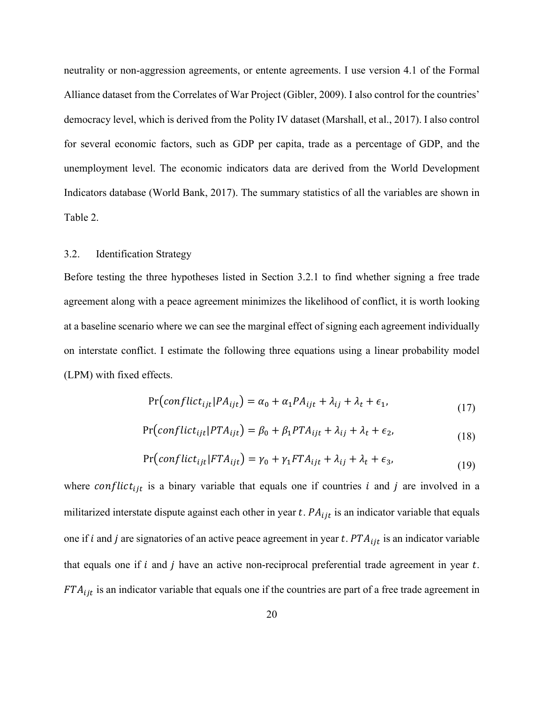neutrality or non-aggression agreements, or entente agreements. I use version 4.1 of the Formal Alliance dataset from the Correlates of War Project (Gibler, 2009). I also control for the countries' democracy level, which is derived from the Polity IV dataset (Marshall, et al., 2017). I also control for several economic factors, such as GDP per capita, trade as a percentage of GDP, and the unemployment level. The economic indicators data are derived from the World Development Indicators database (World Bank, 2017). The summary statistics of all the variables are shown in [Table 2.](#page-31-0)

# 3.2. Identification Strategy

Before testing the three hypotheses listed in Section 3.2.1 to find whether signing a free trade agreement along with a peace agreement minimizes the likelihood of conflict, it is worth looking at a baseline scenario where we can see the marginal effect of signing each agreement individually on interstate conflict. I estimate the following three equations using a linear probability model (LPM) with fixed effects.

<span id="page-19-0"></span>
$$
Pr(conflict_{ijt} | PA_{ijt}) = \alpha_0 + \alpha_1 PA_{ijt} + \lambda_{ij} + \lambda_t + \epsilon_1,
$$
\n(17)

$$
Pr(conflict_{ijt} | PTA_{ijt}) = \beta_0 + \beta_1 PTA_{ijt} + \lambda_{ij} + \lambda_t + \epsilon_2,
$$
\n(18)

<span id="page-19-1"></span>
$$
Pr(conflict_{ijt} | FTA_{ijt}) = \gamma_0 + \gamma_1 FTA_{ijt} + \lambda_{ij} + \lambda_t + \epsilon_3,
$$
\n(19)

where conflict<sub>iit</sub> is a binary variable that equals one if countries *i* and *j* are involved in a militarized interstate dispute against each other in year  $t$ .  $PA_{ijt}$  is an indicator variable that equals one if *i* and *j* are signatories of an active peace agreement in year *t*.  $PTA_{ijt}$  is an indicator variable that equals one if  $i$  and  $j$  have an active non-reciprocal preferential trade agreement in year  $t$ .  $FTA_{ijt}$  is an indicator variable that equals one if the countries are part of a free trade agreement in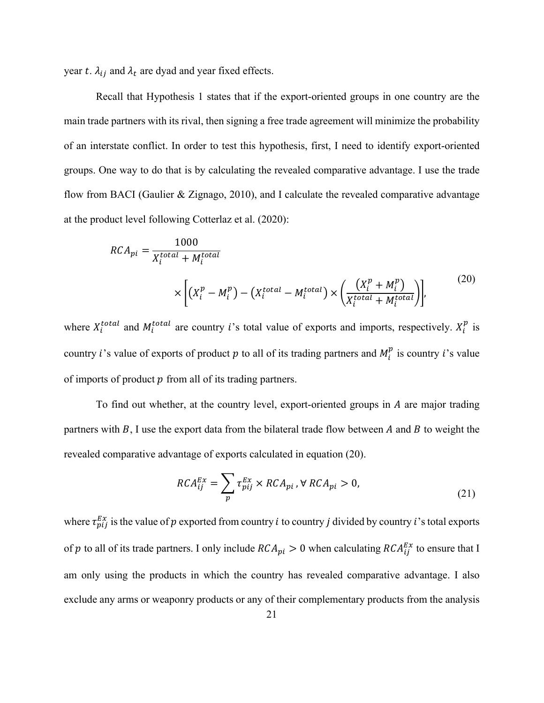year t.  $\lambda_{ij}$  and  $\lambda_t$  are dyad and year fixed effects.

Recall that Hypothesis 1 states that if the export-oriented groups in one country are the main trade partners with its rival, then signing a free trade agreement will minimize the probability of an interstate conflict. In order to test this hypothesis, first, I need to identify export-oriented groups. One way to do that is by calculating the revealed comparative advantage. I use the trade flow from BACI (Gaulier & Zignago, 2010), and I calculate the revealed comparative advantage at the product level following Cotterlaz et al. (2020):

$$
RCA_{pi} = \frac{1000}{X_i^{total} + M_i^{total}}
$$
  
 
$$
\times \left[ (X_i^p - M_i^p) - (X_i^{total} - M_i^{total}) \times \left( \frac{(X_i^p + M_i^p)}{X_i^{total} + M_i^{total}} \right) \right],
$$
 (20)

where  $X_i^{total}$  and  $M_i^{total}$  are country *i*'s total value of exports and imports, respectively.  $X_i^p$  is country *i*'s value of exports of product  $p$  to all of its trading partners and  $M_i^p$  is country *i*'s value of imports of product  $p$  from all of its trading partners.

To find out whether, at the country level, export-oriented groups in A are major trading partners with  $B$ , I use the export data from the bilateral trade flow between  $A$  and  $B$  to weight the revealed comparative advantage of exports calculated in equation [\(20\).](#page-20-0)

<span id="page-20-0"></span>
$$
RCA_{ij}^{Ex} = \sum_{p} \tau_{pij}^{Ex} \times RCA_{pi}, \forall RCA_{pi} > 0,
$$
\n(21)

where  $\tau_{pij}^{Ex}$  is the value of  $p$  exported from country *i* to country *j* divided by country *i*'s total exports of  $p$  to all of its trade partners. I only include  $RCA_{pi} > 0$  when calculating  $RCA_{ij}^{Ex}$  to ensure that I am only using the products in which the country has revealed comparative advantage. I also exclude any arms or weaponry products or any of their complementary products from the analysis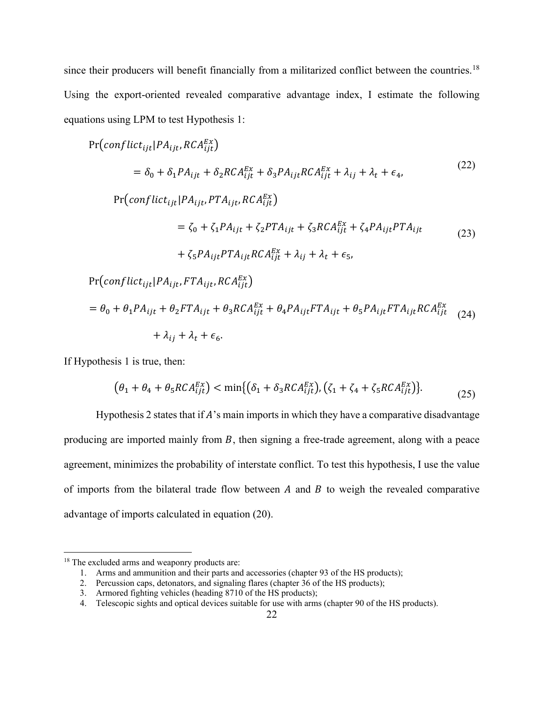since their producers will benefit financially from a militarized conflict between the countries.<sup>[18](#page-21-0)</sup> Using the export-oriented revealed comparative advantage index, I estimate the following equations using LPM to test Hypothesis 1:

$$
Pr(conflict_{ijt} | PA_{ijt}, RCA_{ijt}^{Ex})
$$
\n
$$
= \delta_0 + \delta_1 PA_{ijt} + \delta_2 RCA_{ijt}^{Ex} + \delta_3 PA_{ijt} RCA_{ijt}^{Ex} + \lambda_{ij} + \lambda_t + \epsilon_4,
$$
\n(22)\n
$$
Pr(conflict_{ijt} | PA_{ijt}, PTA_{ijt}, RCA_{ijt}^{Ex})
$$
\n
$$
= \zeta_0 + \zeta_1 PA_{ijt} + \zeta_2 PTA_{ijt} + \zeta_3 RCA_{ijt}^{Ex} + \zeta_4 PA_{ijt} PTA_{ijt}
$$
\n
$$
+ \zeta_5 PA_{ijt} PTA_{ijt} RCA_{ijt}^{Ex} + \lambda_{ij} + \lambda_t + \epsilon_5,
$$
\n
$$
Pr(conflict_{ijt} | PA_{ijt}, FTA_{ijt}, RCA_{ijt}^{Ex})
$$
\n
$$
= \theta_0 + \theta_1 PA_{ijt} + \theta_2 FTA_{ijt} + \theta_3 RCA_{ijt}^{Ex} + \theta_4 PA_{ijt} FTA_{ijt} + \theta_5 PA_{ijt} FTA_{ijt} RCA_{ijt}^{Ex}
$$
\n
$$
+ \lambda_{ij} + \lambda_t + \epsilon_6.
$$
\n(24)

If Hypothesis 1 is true, then:

<span id="page-21-1"></span>
$$
\left(\theta_1 + \theta_4 + \theta_5 RCA_{ijt}^{Ex}\right) < \min\{(\delta_1 + \delta_3 RCA_{ijt}^{Ex}), (\zeta_1 + \zeta_4 + \zeta_5 RCA_{ijt}^{Ex})\}. \tag{25}
$$

Hypothesis 2 states that if  $A$ 's main imports in which they have a comparative disadvantage producing are imported mainly from  $B$ , then signing a free-trade agreement, along with a peace agreement, minimizes the probability of interstate conflict. To test this hypothesis, I use the value of imports from the bilateral trade flow between  $A$  and  $B$  to weigh the revealed comparative advantage of imports calculated in equation [\(20\).](#page-20-0)

<span id="page-21-0"></span><sup>&</sup>lt;sup>18</sup> The excluded arms and weaponry products are:

<sup>1.</sup> Arms and ammunition and their parts and accessories (chapter 93 of the HS products);

<sup>2.</sup> Percussion caps, detonators, and signaling flares (chapter 36 of the HS products);

<sup>3.</sup> Armored fighting vehicles (heading 8710 of the HS products);

<sup>4.</sup> Telescopic sights and optical devices suitable for use with arms (chapter 90 of the HS products).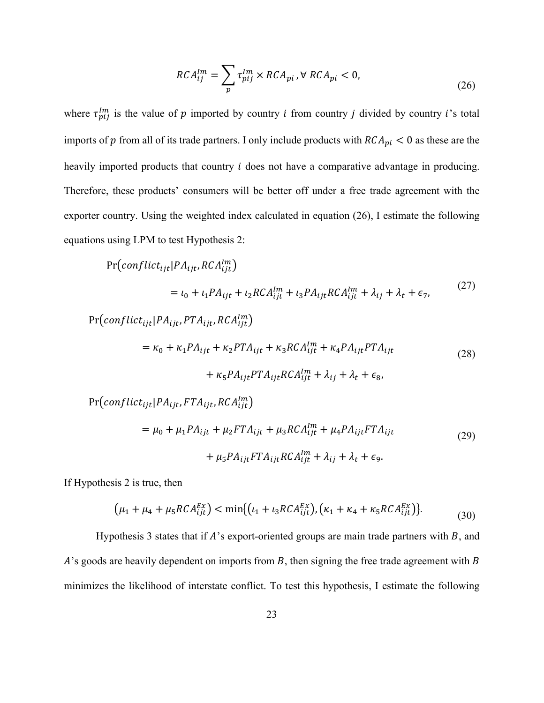<span id="page-22-0"></span>
$$
RCA_{ij}^{lm} = \sum_{p} \tau_{pij}^{lm} \times RCA_{pi}, \forall RCA_{pi} < 0,\tag{26}
$$

where  $\tau_{pij}^{lm}$  is the value of p imported by country *i* from country *j* divided by country *i*'s total imports of  $p$  from all of its trade partners. I only include products with  $RCA_{pi} < 0$  as these are the heavily imported products that country *i* does not have a comparative advantage in producing. Therefore, these products' consumers will be better off under a free trade agreement with the exporter country. Using the weighted index calculated in equation [\(26\),](#page-22-0) I estimate the following equations using LPM to test Hypothesis 2:

$$
Pr(conflict_{ijt}|PA_{ijt}, RCA_{ijt}^{lm})
$$
\n
$$
= \iota_0 + \iota_1 PA_{ijt} + \iota_2 RCA_{ijt}^{lm} + \iota_3 PA_{ijt}RCA_{ijt}^{lm} + \lambda_{ij} + \lambda_t + \epsilon_7,
$$
\n
$$
Pr(conflict_{ijt}|PA_{ijt}, PTA_{ijt}, RCA_{ijt}^{lm})
$$
\n
$$
= \kappa_0 + \kappa_1 PA_{ijt} + \kappa_2 PTA_{ijt} + \kappa_3 RCA_{ijt}^{lm} + \kappa_4 PA_{ijt}PTA_{ijt}
$$
\n
$$
+ \kappa_5 PA_{ijt}PTA_{ijt}RCA_{ijt}^{lm} + \lambda_{ij} + \lambda_t + \epsilon_8,
$$
\n
$$
Pr(conflict_{ijt}|PA_{ijt}, FTA_{ijt}, RCA_{ijt}^{lm})
$$
\n
$$
= \mu_0 + \mu_1 PA_{ijt} + \mu_2 FTA_{ijt} + \mu_3 RCA_{ijt}^{lm} + \mu_4 PA_{ijt}FTA_{ijt}
$$
\n
$$
+ \mu_5 PA_{ijt}FTA_{ijt}RCA_{ijt}^{lm} + \lambda_{ij} + \lambda_t + \epsilon_9.
$$
\n(29)

If Hypothesis 2 is true, then

<span id="page-22-1"></span>
$$
\left(\mu_1 + \mu_4 + \mu_5 RCA_{ijt}^{Ex}\right) < \min\left\{ \left(\iota_1 + \iota_3 RCA_{ijt}^{Ex}\right), \left(\kappa_1 + \kappa_4 + \kappa_5 RCA_{ijt}^{Ex}\right) \right\}.\tag{30}
$$

Hypothesis 3 states that if  $A$ 's export-oriented groups are main trade partners with  $B$ , and  $A$ 's goods are heavily dependent on imports from  $B$ , then signing the free trade agreement with  $B$ minimizes the likelihood of interstate conflict. To test this hypothesis, I estimate the following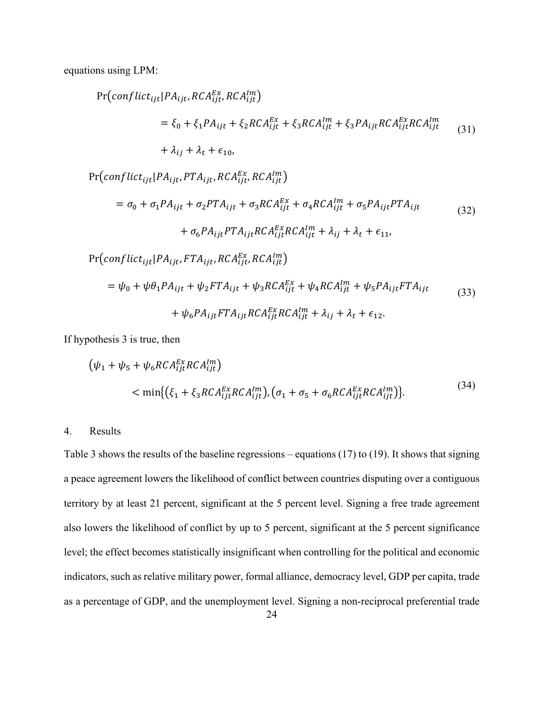equations using LPM:

$$
Pr\left(conflict_{ijt}|PA_{ijt}, RCA_{ijt}^{Ex}, RCA_{ijt}^{Im}\right)
$$
  
=  $\xi_0 + \xi_1 PA_{ijt} + \xi_2 RCA_{ijt}^{Ex} + \xi_3 RCA_{ijt}^{Im} + \xi_3 PA_{ijt} RCA_{ijt}^{Ex} RCA_{ijt}^{Im}$  (31)  
+  $\lambda_{ij} + \lambda_t + \epsilon_{10}$ ,

 $\Pr\big(\mathit{conflict}_{ijt} | PA_{ijt}, PTA_{ijt}, RCA^{Ex}_{ijt}, RCA^{lm}_{ijt}\big)$  $= \sigma_0 + \sigma_1 PA_{ijt} + \sigma_2 PTA_{ijt} + \sigma_3 RCA_{ijt}^{Ex} + \sigma_4 RCA_{ijt}^{Im} + \sigma_5 PA_{ijt} PTA_{ijt}$ +  $\sigma_6 P A_{ijt} P T A_{ijt} R C A_{ijt}^{tx} R C A_{ijt}^{tm} + \lambda_{ij} + \lambda_t + \epsilon_{11}$ (32)  $\Pr\big(\mathit{conflict}_{ijt} | PA_{ijt}, FTA_{ijt}, RCA^{EX}_{ijt}, RCA^{Im}_{ijt}\big)$ 

$$
= \psi_0 + \psi \theta_1 P A_{ijt} + \psi_2 F T A_{ijt} + \psi_3 R C A_{ijt}^{Ex} + \psi_4 R C A_{ijt}^{Im} + \psi_5 P A_{ijt} F T A_{ijt}
$$
  
+ 
$$
\psi_6 P A_{ijt} F T A_{ijt} R C A_{ijt}^{Ex} R C A_{ijt}^{Im} + \lambda_{ij} + \lambda_t + \epsilon_{12}.
$$
 (33)

If hypothesis 3 is true, then

$$
\begin{aligned} \left(\psi_1 + \psi_5 + \psi_6 RCA_{ijt}^{Ex} RCA_{ijt}^{Im}\right) \\ &< \min\{ \left(\xi_1 + \xi_3 RCA_{ijt}^{Ex} RCA_{ijt}^{Im}\right), \left(\sigma_1 + \sigma_5 + \sigma_6 RCA_{ijt}^{Ex} RCA_{ijt}^{Im}\right)\} .\end{aligned} \tag{34}
$$

#### 4. Results

[Table 3](#page-32-0) shows the results of the baseline regressions – equations [\(17\)](#page-19-0) to [\(19\).](#page-19-1) It shows that signing a peace agreement lowers the likelihood of conflict between countries disputing over a contiguous territory by at least 21 percent, significant at the 5 percent level. Signing a free trade agreement also lowers the likelihood of conflict by up to 5 percent, significant at the 5 percent significance level; the effect becomes statistically insignificant when controlling for the political and economic indicators, such as relative military power, formal alliance, democracy level, GDP per capita, trade as a percentage of GDP, and the unemployment level. Signing a non-reciprocal preferential trade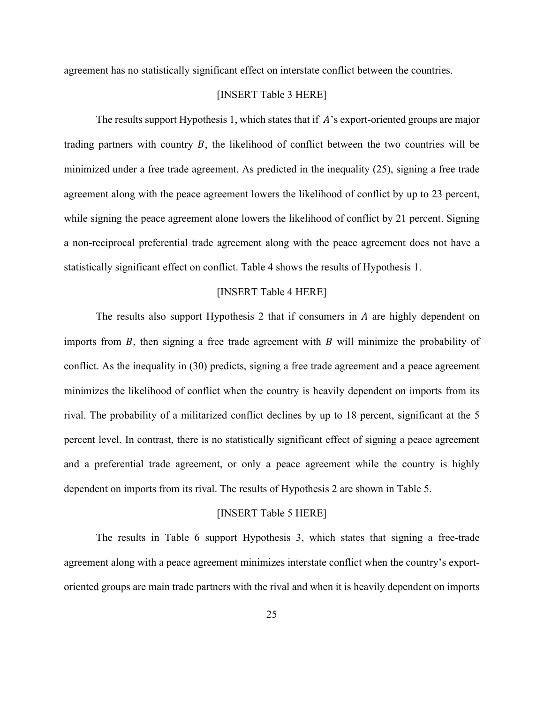agreement has no statistically significant effect on interstate conflict between the countries.

### [INSERT [Table 3](#page-32-0) HERE]

The results support Hypothesis 1, which states that if  $A$ 's export-oriented groups are major trading partners with country  $B$ , the likelihood of conflict between the two countries will be minimized under a free trade agreement. As predicted in the inequality [\(25\),](#page-21-1) signing a free trade agreement along with the peace agreement lowers the likelihood of conflict by up to 23 percent, while signing the peace agreement alone lowers the likelihood of conflict by 21 percent. Signing a non-reciprocal preferential trade agreement along with the peace agreement does not have a statistically significant effect on conflict. [Table 4](#page-33-0) shows the results of Hypothesis 1.

#### [INSERT [Table 4](#page-33-0) HERE]

The results also support Hypothesis 2 that if consumers in  $A$  are highly dependent on imports from  $B$ , then signing a free trade agreement with  $B$  will minimize the probability of conflict. As the inequality in [\(30\)](#page-22-1) predicts, signing a free trade agreement and a peace agreement minimizes the likelihood of conflict when the country is heavily dependent on imports from its rival. The probability of a militarized conflict declines by up to 18 percent, significant at the 5 percent level. In contrast, there is no statistically significant effect of signing a peace agreement and a preferential trade agreement, or only a peace agreement while the country is highly dependent on imports from its rival. The results of Hypothesis 2 are shown in [Table 5.](#page-34-0)

#### [INSERT [Table 5](#page-34-0) HERE]

The results in [Table 6](#page-35-0) support Hypothesis 3, which states that signing a free-trade agreement along with a peace agreement minimizes interstate conflict when the country's exportoriented groups are main trade partners with the rival and when it is heavily dependent on imports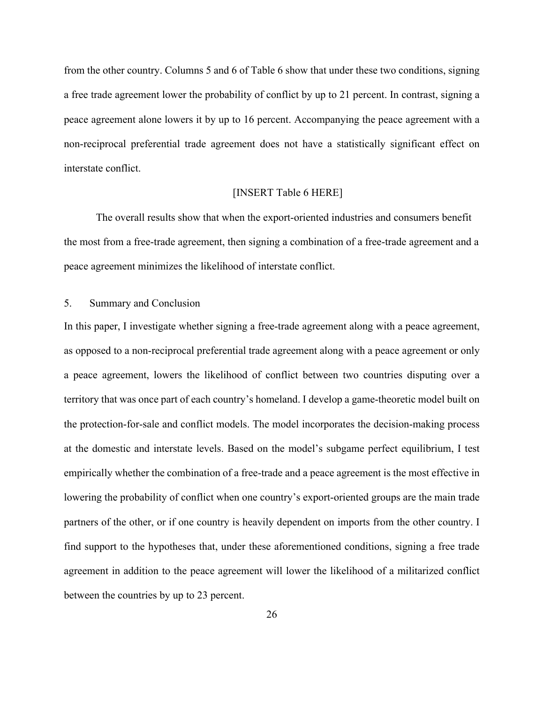from the other country. Columns 5 and 6 of [Table 6](#page-35-0) show that under these two conditions, signing a free trade agreement lower the probability of conflict by up to 21 percent. In contrast, signing a peace agreement alone lowers it by up to 16 percent. Accompanying the peace agreement with a non-reciprocal preferential trade agreement does not have a statistically significant effect on interstate conflict.

# [INSERT [Table 6](#page-35-0) HERE]

The overall results show that when the export-oriented industries and consumers benefit the most from a free-trade agreement, then signing a combination of a free-trade agreement and a peace agreement minimizes the likelihood of interstate conflict.

# 5. Summary and Conclusion

In this paper, I investigate whether signing a free-trade agreement along with a peace agreement, as opposed to a non-reciprocal preferential trade agreement along with a peace agreement or only a peace agreement, lowers the likelihood of conflict between two countries disputing over a territory that was once part of each country's homeland. I develop a game-theoretic model built on the protection-for-sale and conflict models. The model incorporates the decision-making process at the domestic and interstate levels. Based on the model's subgame perfect equilibrium, I test empirically whether the combination of a free-trade and a peace agreement is the most effective in lowering the probability of conflict when one country's export-oriented groups are the main trade partners of the other, or if one country is heavily dependent on imports from the other country. I find support to the hypotheses that, under these aforementioned conditions, signing a free trade agreement in addition to the peace agreement will lower the likelihood of a militarized conflict between the countries by up to 23 percent.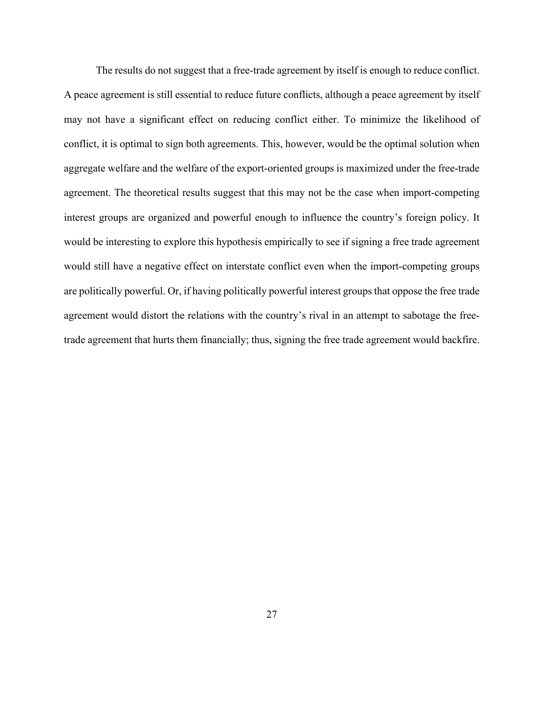The results do not suggest that a free-trade agreement by itself is enough to reduce conflict. A peace agreement is still essential to reduce future conflicts, although a peace agreement by itself may not have a significant effect on reducing conflict either. To minimize the likelihood of conflict, it is optimal to sign both agreements. This, however, would be the optimal solution when aggregate welfare and the welfare of the export-oriented groups is maximized under the free-trade agreement. The theoretical results suggest that this may not be the case when import-competing interest groups are organized and powerful enough to influence the country's foreign policy. It would be interesting to explore this hypothesis empirically to see if signing a free trade agreement would still have a negative effect on interstate conflict even when the import-competing groups are politically powerful. Or, if having politically powerful interest groups that oppose the free trade agreement would distort the relations with the country's rival in an attempt to sabotage the freetrade agreement that hurts them financially; thus, signing the free trade agreement would backfire.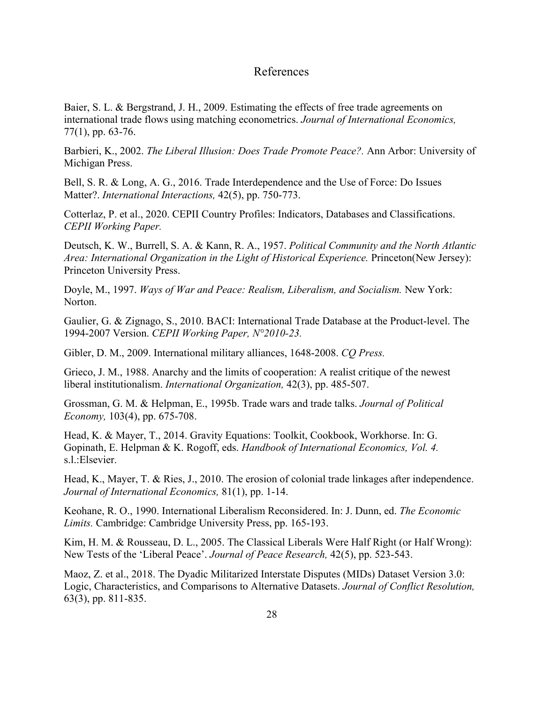# References

Baier, S. L. & Bergstrand, J. H., 2009. Estimating the effects of free trade agreements on international trade flows using matching econometrics. *Journal of International Economics,*  77(1), pp. 63-76.

Barbieri, K., 2002. *The Liberal Illusion: Does Trade Promote Peace?.* Ann Arbor: University of Michigan Press.

Bell, S. R. & Long, A. G., 2016. Trade Interdependence and the Use of Force: Do Issues Matter?. *International Interactions,* 42(5), pp. 750-773.

Cotterlaz, P. et al., 2020. CEPII Country Profiles: Indicators, Databases and Classifications. *CEPII Working Paper.*

Deutsch, K. W., Burrell, S. A. & Kann, R. A., 1957. *Political Community and the North Atlantic Area: International Organization in the Light of Historical Experience.* Princeton(New Jersey): Princeton University Press.

Doyle, M., 1997. *Ways of War and Peace: Realism, Liberalism, and Socialism.* New York: Norton.

Gaulier, G. & Zignago, S., 2010. BACI: International Trade Database at the Product-level. The 1994-2007 Version. *CEPII Working Paper, N°2010-23.*

Gibler, D. M., 2009. International military alliances, 1648-2008. *CQ Press.*

Grieco, J. M., 1988. Anarchy and the limits of cooperation: A realist critique of the newest liberal institutionalism. *International Organization,* 42(3), pp. 485-507.

Grossman, G. M. & Helpman, E., 1995b. Trade wars and trade talks. *Journal of Political Economy,* 103(4), pp. 675-708.

Head, K. & Mayer, T., 2014. Gravity Equations: Toolkit, Cookbook, Workhorse. In: G. Gopinath, E. Helpman & K. Rogoff, eds. *Handbook of International Economics, Vol. 4.*  s.l.:Elsevier.

Head, K., Mayer, T. & Ries, J., 2010. The erosion of colonial trade linkages after independence. *Journal of International Economics,* 81(1), pp. 1-14.

Keohane, R. O., 1990. International Liberalism Reconsidered. In: J. Dunn, ed. *The Economic Limits.* Cambridge: Cambridge University Press, pp. 165-193.

Kim, H. M. & Rousseau, D. L., 2005. The Classical Liberals Were Half Right (or Half Wrong): New Tests of the 'Liberal Peace'. *Journal of Peace Research,* 42(5), pp. 523-543.

Maoz, Z. et al., 2018. The Dyadic Militarized Interstate Disputes (MIDs) Dataset Version 3.0: Logic, Characteristics, and Comparisons to Alternative Datasets. *Journal of Conflict Resolution,*  63(3), pp. 811-835.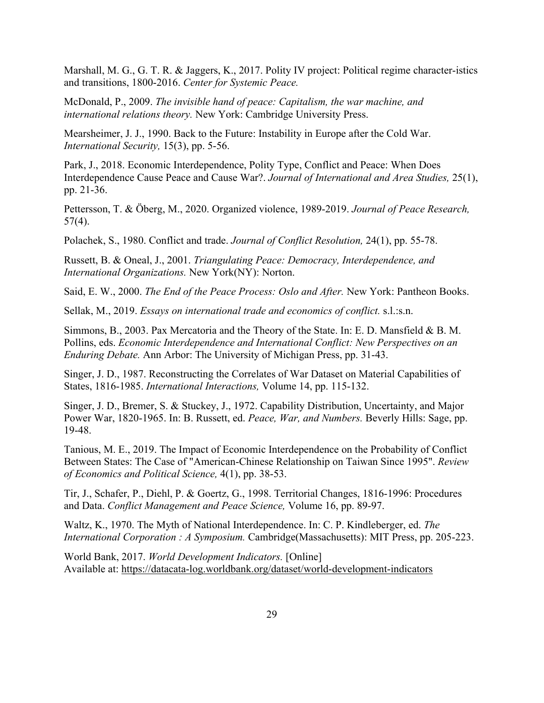Marshall, M. G., G. T. R. & Jaggers, K., 2017. Polity IV project: Political regime character-istics and transitions, 1800-2016. *Center for Systemic Peace.*

McDonald, P., 2009. *The invisible hand of peace: Capitalism, the war machine, and international relations theory.* New York: Cambridge University Press.

Mearsheimer, J. J., 1990. Back to the Future: Instability in Europe after the Cold War. *International Security,* 15(3), pp. 5-56.

Park, J., 2018. Economic Interdependence, Polity Type, Conflict and Peace: When Does Interdependence Cause Peace and Cause War?. *Journal of International and Area Studies,* 25(1), pp. 21-36.

Pettersson, T. & Öberg, M., 2020. Organized violence, 1989-2019. *Journal of Peace Research,*   $57(4)$ .

Polachek, S., 1980. Conflict and trade. *Journal of Conflict Resolution,* 24(1), pp. 55-78.

Russett, B. & Oneal, J., 2001. *Triangulating Peace: Democracy, Interdependence, and International Organizations.* New York(NY): Norton.

Said, E. W., 2000. *The End of the Peace Process: Oslo and After.* New York: Pantheon Books.

Sellak, M., 2019. *Essays on international trade and economics of conflict.* s.l.:s.n.

Simmons, B., 2003. Pax Mercatoria and the Theory of the State. In: E. D. Mansfield & B. M. Pollins, eds. *Economic Interdependence and International Conflict: New Perspectives on an Enduring Debate.* Ann Arbor: The University of Michigan Press, pp. 31-43.

Singer, J. D., 1987. Reconstructing the Correlates of War Dataset on Material Capabilities of States, 1816-1985. *International Interactions,* Volume 14, pp. 115-132.

Singer, J. D., Bremer, S. & Stuckey, J., 1972. Capability Distribution, Uncertainty, and Major Power War, 1820-1965. In: B. Russett, ed. *Peace, War, and Numbers.* Beverly Hills: Sage, pp. 19-48.

Tanious, M. E., 2019. The Impact of Economic Interdependence on the Probability of Conflict Between States: The Case of "American-Chinese Relationship on Taiwan Since 1995". *Review of Economics and Political Science,* 4(1), pp. 38-53.

Tir, J., Schafer, P., Diehl, P. & Goertz, G., 1998. Territorial Changes, 1816-1996: Procedures and Data. *Conflict Management and Peace Science,* Volume 16, pp. 89-97.

Waltz, K., 1970. The Myth of National Interdependence. In: C. P. Kindleberger, ed. *The International Corporation : A Symposium.* Cambridge(Massachusetts): MIT Press, pp. 205-223.

World Bank, 2017. *World Development Indicators.* [Online] Available at: https://datacata-log.worldbank.org/dataset/world-development-indicators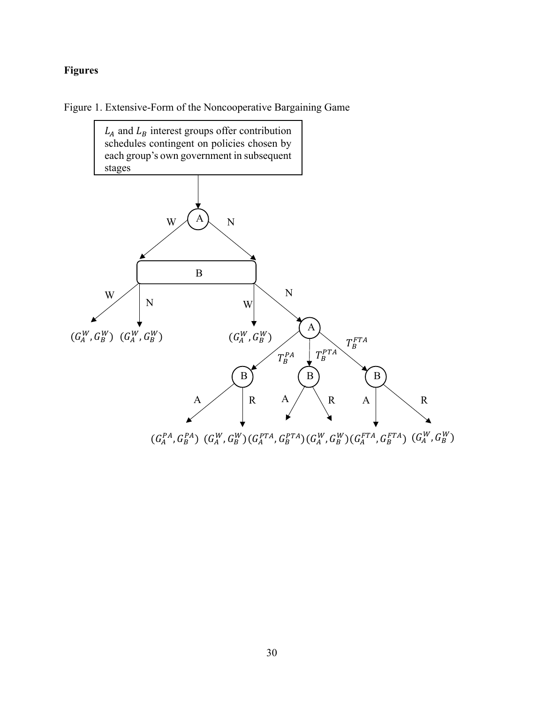# **Figures**

<span id="page-29-0"></span>Figure 1. Extensive-Form of the Noncooperative Bargaining Game



 $(G_A^{PA}, G_B^{PA})$   $(G_A^{W}, G_B^{W})$  $(G_A^{PTA}, G_B^{PTA})$  $(G_A^{W}, G_B^{W})$  $(G_A^{FTA}, G_B^{FTA})$   $(G_A^{W}, G_B^{W})$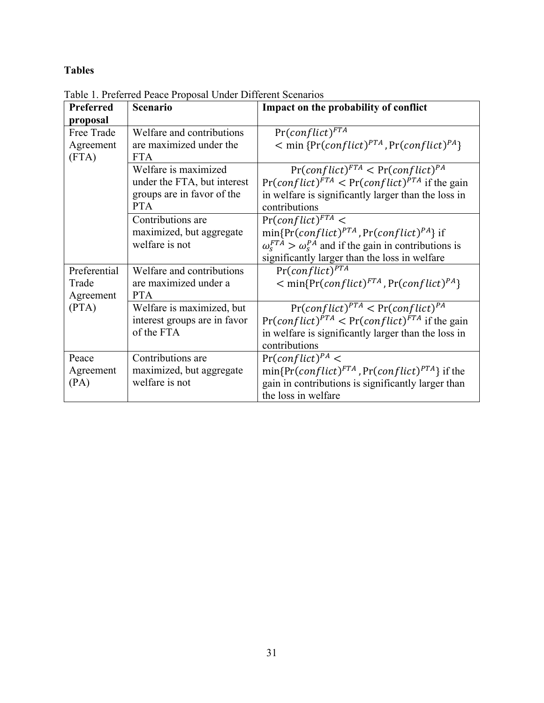# **Tables**

| Preferred<br>proposal              | Scenario                                                                                        | Impact on the probability of conflict                                                                                                                                                                |  |  |
|------------------------------------|-------------------------------------------------------------------------------------------------|------------------------------------------------------------------------------------------------------------------------------------------------------------------------------------------------------|--|--|
| Free Trade<br>Agreement<br>(FTA)   | Welfare and contributions<br>are maximized under the<br><b>FTA</b>                              | $Pr(conflict)^{FTA}$<br>$\leq$ min {Pr(conflict) <sup>PTA</sup> , Pr(conflict) <sup>PA</sup> }                                                                                                       |  |  |
|                                    | Welfare is maximized<br>under the FTA, but interest<br>groups are in favor of the<br><b>PTA</b> | $Pr(conflict)^{FTA}$ < $Pr(conflict)^{PA}$<br>$Pr(conflict)^{FTA}$ < $Pr(conflict)^{PTA}$ if the gain<br>in welfare is significantly larger than the loss in<br>contributions                        |  |  |
|                                    | Contributions are<br>maximized, but aggregate<br>welfare is not                                 | $Pr(conflict)^{FTA}$ <<br>$min\{Pr(conflict)^{PTA}, Pr(conflict)^{PA}\}$ if<br>$\omega_s^{FTA} > \omega_s^{PA}$ and if the gain in contributions is<br>significantly larger than the loss in welfare |  |  |
| Preferential<br>Trade<br>Agreement | Welfare and contributions<br>are maximized under a<br><b>PTA</b>                                | $Pr(conflict)^{PTA}$<br>$\leq$ min{Pr(conflict) <sup>FTA</sup> , Pr(conflict) <sup>PA</sup> }                                                                                                        |  |  |
| (PTA)                              | Welfare is maximized, but<br>interest groups are in favor<br>of the FTA                         | $Pr(conflict)^{PTA} < Pr(conflict)^{PA}$<br>$Pr(conflict)^{PTA}$ < $Pr(conflict)^{FTA}$ if the gain<br>in welfare is significantly larger than the loss in<br>contributions                          |  |  |
| Peace<br>Agreement<br>(PA)         | Contributions are<br>maximized, but aggregate<br>welfare is not                                 | $Pr(conflict)^{PA}$ <<br>$min\{Pr(conflict)^{FTA}, Pr(conflict)^{PTA}\}$ if the<br>gain in contributions is significantly larger than<br>the loss in welfare                                         |  |  |

<span id="page-30-0"></span>Table 1. Preferred Peace Proposal Under Different Scenarios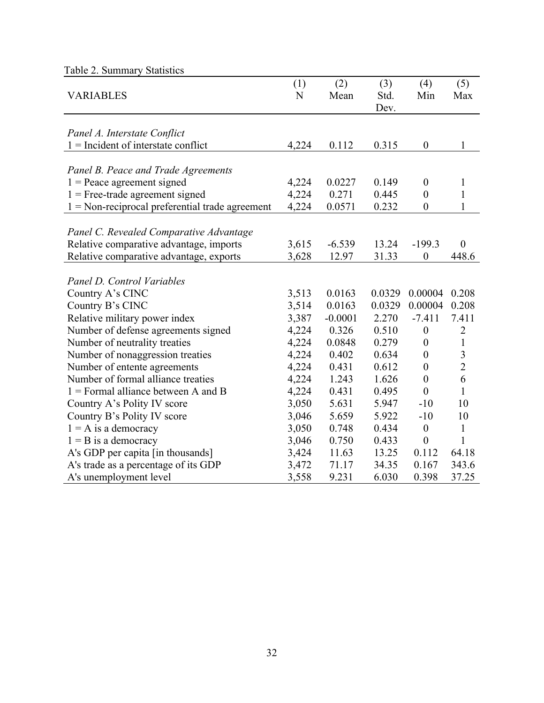<span id="page-31-0"></span>

| Table $\angle$ . Summary Statistics                      |                    |             |                     |                  |                         |
|----------------------------------------------------------|--------------------|-------------|---------------------|------------------|-------------------------|
| <b>VARIABLES</b>                                         | (1)<br>$\mathbf N$ | (2)<br>Mean | (3)<br>Std.<br>Dev. | (4)<br>Min       | (5)<br>Max              |
|                                                          |                    |             |                     |                  |                         |
| Panel A. Interstate Conflict                             |                    |             |                     |                  |                         |
| $1 =$ Incident of interstate conflict                    | 4,224              | 0.112       | 0.315               | $\boldsymbol{0}$ | $\mathbf{1}$            |
|                                                          |                    |             |                     |                  |                         |
| Panel B. Peace and Trade Agreements                      |                    |             |                     |                  |                         |
| $1 =$ Peace agreement signed                             | 4,224              | 0.0227      | 0.149               | $\boldsymbol{0}$ | 1                       |
| $1 =$ Free-trade agreement signed                        | 4,224              | 0.271       | 0.445               | $\boldsymbol{0}$ | $\mathbf{1}$            |
| $1 = \text{Non-reciprocal preferential trade agreement}$ | 4,224              | 0.0571      | 0.232               | $\boldsymbol{0}$ | $\mathbf{1}$            |
|                                                          |                    |             |                     |                  |                         |
| Panel C. Revealed Comparative Advantage                  |                    |             |                     |                  |                         |
| Relative comparative advantage, imports                  | 3,615              | $-6.539$    | 13.24               | $-199.3$         | $\theta$                |
| Relative comparative advantage, exports                  | 3,628              | 12.97       | 31.33               | $\boldsymbol{0}$ | 448.6                   |
|                                                          |                    |             |                     |                  |                         |
| Panel D. Control Variables                               |                    |             |                     |                  |                         |
| Country A's CINC                                         | 3,513              | 0.0163      | 0.0329              | 0.00004          | 0.208                   |
| Country B's CINC                                         | 3,514              | 0.0163      | 0.0329              | 0.00004          | 0.208                   |
| Relative military power index                            | 3,387              | $-0.0001$   | 2.270               | $-7.411$         | 7.411                   |
| Number of defense agreements signed                      | 4,224              | 0.326       | 0.510               | $\boldsymbol{0}$ | $\overline{2}$          |
| Number of neutrality treaties                            | 4,224              | 0.0848      | 0.279               | $\boldsymbol{0}$ | $\mathbf{1}$            |
| Number of nonaggression treaties                         | 4,224              | 0.402       | 0.634               | $\boldsymbol{0}$ | $\overline{\mathbf{3}}$ |
| Number of entente agreements                             | 4,224              | 0.431       | 0.612               | $\boldsymbol{0}$ | $\overline{2}$          |
| Number of formal alliance treaties                       | 4,224              | 1.243       | 1.626               | $\boldsymbol{0}$ | 6                       |
| $1 =$ Formal alliance between A and B                    | 4,224              | 0.431       | 0.495               | $\boldsymbol{0}$ | $\mathbf{1}$            |
| Country A's Polity IV score                              | 3,050              | 5.631       | 5.947               | $-10$            | 10                      |
| Country B's Polity IV score                              | 3,046              | 5.659       | 5.922               | $-10$            | 10                      |
| $1 = A$ is a democracy                                   | 3,050              | 0.748       | 0.434               | $\boldsymbol{0}$ | $\mathbf{1}$            |
| $1 = B$ is a democracy                                   | 3,046              | 0.750       | 0.433               | $\boldsymbol{0}$ | $\mathbf{1}$            |
| A's GDP per capita [in thousands]                        | 3,424              | 11.63       | 13.25               | 0.112            | 64.18                   |
| A's trade as a percentage of its GDP                     | 3,472              | 71.17       | 34.35               | 0.167            | 343.6                   |
| A's unemployment level                                   | 3,558              | 9.231       | 6.030               | 0.398            | 37.25                   |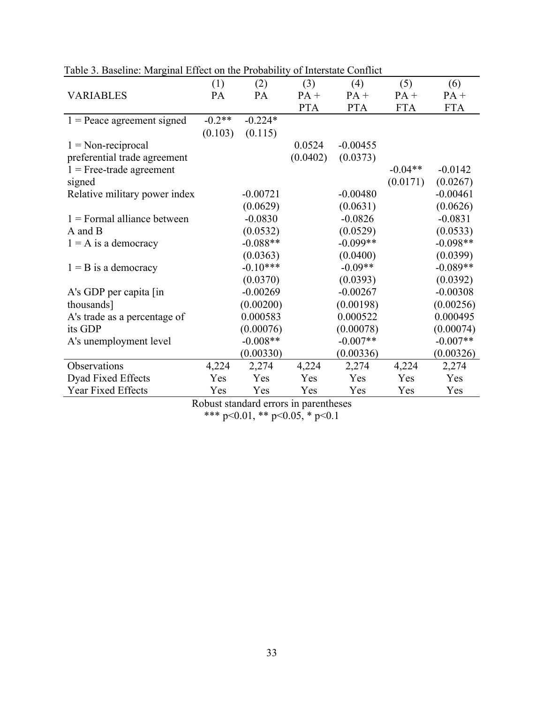| abre 5. Basemie: marginar Erreet on are i robability |          |            |            | $\sigma$ - $\sigma$ - $\sigma$ - $\sigma$ - $\sigma$ - $\sigma$ - $\sigma$ - $\sigma$ - $\sigma$ |            |            |
|------------------------------------------------------|----------|------------|------------|--------------------------------------------------------------------------------------------------|------------|------------|
|                                                      | (1)      | (2)        | (3)        | (4)                                                                                              | (5)        | (6)        |
| <b>VARIABLES</b>                                     | PA       | <b>PA</b>  | $PA +$     | $PA +$                                                                                           | $PA +$     | $PA +$     |
|                                                      |          |            | <b>PTA</b> | <b>PTA</b>                                                                                       | <b>FTA</b> | <b>FTA</b> |
| $1 =$ Peace agreement signed                         | $-0.2**$ | $-0.224*$  |            |                                                                                                  |            |            |
|                                                      | (0.103)  | (0.115)    |            |                                                                                                  |            |            |
| $1 = Non-reciprocal$                                 |          |            | 0.0524     | $-0.00455$                                                                                       |            |            |
| preferential trade agreement                         |          |            | (0.0402)   | (0.0373)                                                                                         |            |            |
| $1 =$ Free-trade agreement                           |          |            |            |                                                                                                  | $-0.04**$  | $-0.0142$  |
| signed                                               |          |            |            |                                                                                                  | (0.0171)   | (0.0267)   |
| Relative military power index                        |          | $-0.00721$ |            | $-0.00480$                                                                                       |            | $-0.00461$ |
|                                                      |          | (0.0629)   |            | (0.0631)                                                                                         |            | (0.0626)   |
| $1$ = Formal alliance between                        |          | $-0.0830$  |            | $-0.0826$                                                                                        |            | $-0.0831$  |
| A and B                                              |          | (0.0532)   |            | (0.0529)                                                                                         |            | (0.0533)   |
| $1 = A$ is a democracy                               |          | $-0.088**$ |            | $-0.099**$                                                                                       |            | $-0.098**$ |
|                                                      |          | (0.0363)   |            | (0.0400)                                                                                         |            | (0.0399)   |
| $1 = B$ is a democracy                               |          | $-0.10***$ |            | $-0.09**$                                                                                        |            | $-0.089**$ |
|                                                      |          | (0.0370)   |            | (0.0393)                                                                                         |            | (0.0392)   |
| A's GDP per capita [in]                              |          | $-0.00269$ |            | $-0.00267$                                                                                       |            | $-0.00308$ |
| thousands]                                           |          | (0.00200)  |            | (0.00198)                                                                                        |            | (0.00256)  |
| A's trade as a percentage of                         |          | 0.000583   |            | 0.000522                                                                                         |            | 0.000495   |
| its GDP                                              |          | (0.00076)  |            | (0.00078)                                                                                        |            | (0.00074)  |
| A's unemployment level                               |          | $-0.008**$ |            | $-0.007**$                                                                                       |            | $-0.007**$ |
|                                                      |          | (0.00330)  |            | (0.00336)                                                                                        |            | (0.00326)  |
| Observations                                         | 4,224    | 2,274      | 4,224      | 2,274                                                                                            | 4,224      | 2,274      |
| Dyad Fixed Effects                                   | Yes      | Yes        | Yes        | Yes                                                                                              | Yes        | Yes        |
| Year Fixed Effects                                   | Yes      | Yes        | Yes        | Yes                                                                                              | Yes        | Yes        |

<span id="page-32-0"></span>Table 3. Baseline: Marginal Effect on the Probability of Interstate Conflict

Robust standard errors in parentheses

\*\*\* p<0.01, \*\* p<0.05, \* p<0.1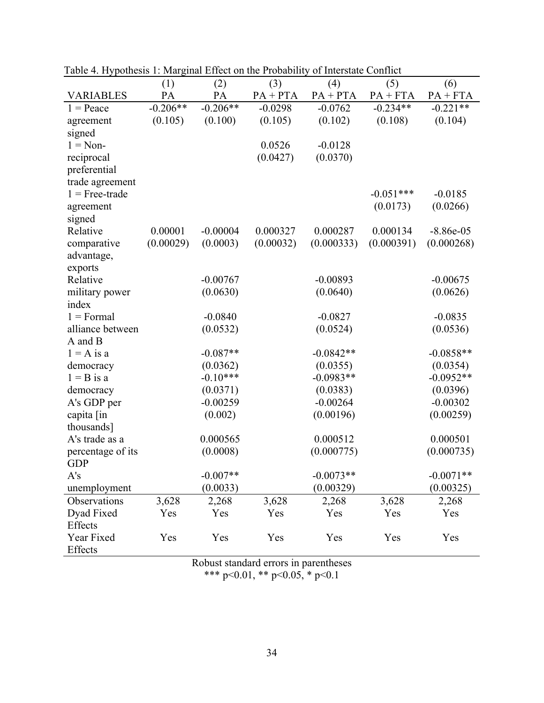|                       | $\ldots$<br>(1) | (2)        | (3)        | (4)         | (5)         | (6)         |
|-----------------------|-----------------|------------|------------|-------------|-------------|-------------|
| <b>VARIABLES</b>      | PA              | PA         | $PA + PTA$ | $PA + PTA$  | $PA + FTA$  | $PA + FTA$  |
| $1 = Peace$           | $-0.206**$      | $-0.206**$ | $-0.0298$  | $-0.0762$   | $-0.234**$  | $-0.221**$  |
| agreement             | (0.105)         | (0.100)    | (0.105)    | (0.102)     | (0.108)     | (0.104)     |
| signed                |                 |            |            |             |             |             |
| $1 = \text{Non}$      |                 |            | 0.0526     | $-0.0128$   |             |             |
| reciprocal            |                 |            | (0.0427)   | (0.0370)    |             |             |
| preferential          |                 |            |            |             |             |             |
| trade agreement       |                 |            |            |             |             |             |
| $1 =$ Free-trade      |                 |            |            |             | $-0.051***$ | $-0.0185$   |
| agreement             |                 |            |            |             | (0.0173)    | (0.0266)    |
| signed                |                 |            |            |             |             |             |
| Relative              | 0.00001         | $-0.00004$ | 0.000327   | 0.000287    | 0.000134    | $-8.86e-05$ |
| comparative           | (0.00029)       | (0.0003)   | (0.00032)  | (0.000333)  | (0.000391)  | (0.000268)  |
| advantage,            |                 |            |            |             |             |             |
| exports               |                 |            |            |             |             |             |
| Relative              |                 | $-0.00767$ |            | $-0.00893$  |             | $-0.00675$  |
| military power        |                 | (0.0630)   |            | (0.0640)    |             | (0.0626)    |
| index                 |                 |            |            |             |             |             |
| $1 =$ Formal          |                 | $-0.0840$  |            | $-0.0827$   |             | $-0.0835$   |
| alliance between      |                 | (0.0532)   |            | (0.0524)    |             | (0.0536)    |
| A and B               |                 |            |            |             |             |             |
| $1 = A$ is a          |                 | $-0.087**$ |            | $-0.0842**$ |             | $-0.0858**$ |
| democracy             |                 | (0.0362)   |            | (0.0355)    |             | (0.0354)    |
| $1 = B$ is a          |                 | $-0.10***$ |            | $-0.0983**$ |             | $-0.0952**$ |
| democracy             |                 | (0.0371)   |            | (0.0383)    |             | (0.0396)    |
| A's GDP per           |                 | $-0.00259$ |            | $-0.00264$  |             | $-0.00302$  |
| capita [in            |                 | (0.002)    |            | (0.00196)   |             | (0.00259)   |
| thousands]            |                 |            |            |             |             |             |
| A's trade as a        |                 | 0.000565   |            | 0.000512    |             | 0.000501    |
| percentage of its     |                 | (0.0008)   |            | (0.000775)  |             | (0.000735)  |
| <b>GDP</b>            |                 |            |            |             |             |             |
| A's                   |                 | $-0.007**$ |            | $-0.0073**$ |             | $-0.0071**$ |
| unemployment          |                 | (0.0033)   |            | (0.00329)   |             | (0.00325)   |
| Observations          | 3,628           | 2,268      | 3,628      | 2,268       | 3,628       | 2,268       |
| Dyad Fixed            | Yes             | Yes        | Yes        | Yes         | Yes         | Yes         |
| Effects               |                 |            |            |             |             |             |
| Year Fixed<br>Effects | Yes             | Yes        | Yes        | Yes         | Yes         | Yes         |
|                       |                 |            |            |             |             |             |

<span id="page-33-0"></span>Table 4. Hypothesis 1: Marginal Effect on the Probability of Interstate Conflict

Robust standard errors in parentheses

\*\*\* p<0.01, \*\* p<0.05, \* p<0.1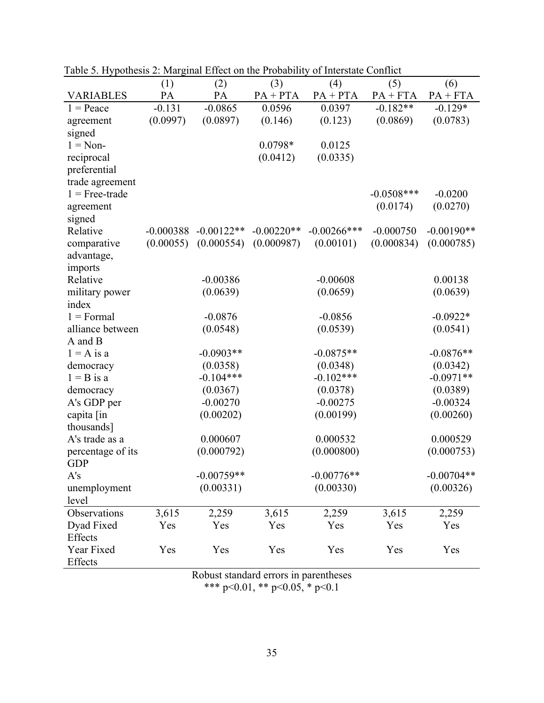|                   | (1)         | (2)          | (3)          | (4)            | (5)          | (6)          |
|-------------------|-------------|--------------|--------------|----------------|--------------|--------------|
| <b>VARIABLES</b>  | PA          | PA           | $PA + PTA$   | $PA + PTA$     | $PA + FTA$   | $PA + FTA$   |
| $1 = Peace$       | $-0.131$    | $-0.0865$    | 0.0596       | 0.0397         | $-0.182**$   | $-0.129*$    |
| agreement         | (0.0997)    | (0.0897)     | (0.146)      | (0.123)        | (0.0869)     | (0.0783)     |
| signed            |             |              |              |                |              |              |
| $1 = \text{Non}$  |             |              | $0.0798*$    | 0.0125         |              |              |
| reciprocal        |             |              | (0.0412)     | (0.0335)       |              |              |
| preferential      |             |              |              |                |              |              |
| trade agreement   |             |              |              |                |              |              |
| $1 =$ Free-trade  |             |              |              |                | $-0.0508***$ | $-0.0200$    |
| agreement         |             |              |              |                | (0.0174)     | (0.0270)     |
| signed            |             |              |              |                |              |              |
| Relative          | $-0.000388$ | $-0.00122**$ | $-0.00220**$ | $-0.00266$ *** | $-0.000750$  | $-0.00190**$ |
| comparative       | (0.00055)   | (0.000554)   | (0.000987)   | (0.00101)      | (0.000834)   | (0.000785)   |
| advantage,        |             |              |              |                |              |              |
| imports           |             |              |              |                |              |              |
| Relative          |             | $-0.00386$   |              | $-0.00608$     |              | 0.00138      |
| military power    |             | (0.0639)     |              | (0.0659)       |              | (0.0639)     |
| index             |             |              |              |                |              |              |
| $1 =$ Formal      |             | $-0.0876$    |              | $-0.0856$      |              | $-0.0922*$   |
| alliance between  |             | (0.0548)     |              | (0.0539)       |              | (0.0541)     |
| A and B           |             |              |              |                |              |              |
| $1 = A$ is a      |             | $-0.0903**$  |              | $-0.0875**$    |              | $-0.0876**$  |
| democracy         |             | (0.0358)     |              | (0.0348)       |              | (0.0342)     |
| $1 = B$ is a      |             | $-0.104***$  |              | $-0.102***$    |              | $-0.0971**$  |
| democracy         |             | (0.0367)     |              | (0.0378)       |              | (0.0389)     |
| A's GDP per       |             | $-0.00270$   |              | $-0.00275$     |              | $-0.00324$   |
| capita [in        |             | (0.00202)    |              | (0.00199)      |              | (0.00260)    |
| thousands]        |             |              |              |                |              |              |
| A's trade as a    |             | 0.000607     |              | 0.000532       |              | 0.000529     |
| percentage of its |             | (0.000792)   |              | (0.000800)     |              | (0.000753)   |
| <b>GDP</b>        |             |              |              |                |              |              |
| A's               |             | $-0.00759**$ |              | $-0.00776**$   |              | $-0.00704**$ |
| unemployment      |             | (0.00331)    |              | (0.00330)      |              | (0.00326)    |
| level             |             |              |              |                |              |              |
| Observations      | 3,615       | 2,259        | 3,615        | 2,259          | 3,615        | 2,259        |
| Dyad Fixed        | Yes         | Yes          | Yes          | Yes            | Yes          | Yes          |
| Effects           |             |              |              |                |              |              |
| Year Fixed        | Yes         | Yes          | Yes          | Yes            | Yes          | Yes          |
| Effects           |             |              |              |                |              |              |

<span id="page-34-0"></span>Table 5. Hypothesis 2: Marginal Effect on the Probability of Interstate Conflict

Robust standard errors in parentheses \*\*\* p<0.01, \*\* p<0.05, \* p<0.1